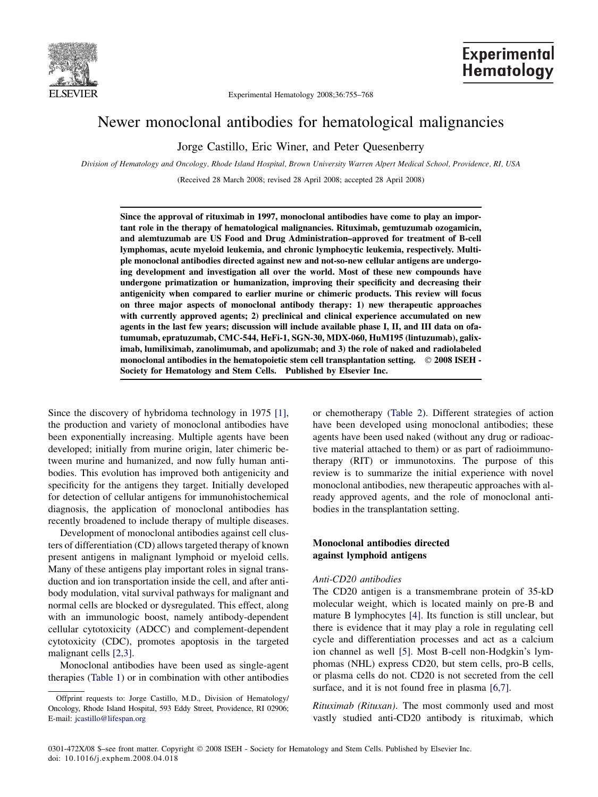

Experimental Hematology 2008;36:755–768

# **Experimental** Hematology

# Newer monoclonal antibodies for hematological malignancies

Jorge Castillo, Eric Winer, and Peter Quesenberry

Division of Hematology and Oncology, Rhode Island Hospital, Brown University Warren Alpert Medical School, Providence, RI, USA

(Received 28 March 2008; revised 28 April 2008; accepted 28 April 2008)

Since the approval of rituximab in 1997, monoclonal antibodies have come to play an important role in the therapy of hematological malignancies. Rituximab, gemtuzumab ozogamicin, and alemtuzumab are US Food and Drug Administration–approved for treatment of B-cell lymphomas, acute myeloid leukemia, and chronic lymphocytic leukemia, respectively. Multiple monoclonal antibodies directed against new and not-so-new cellular antigens are undergoing development and investigation all over the world. Most of these new compounds have undergone primatization or humanization, improving their specificity and decreasing their antigenicity when compared to earlier murine or chimeric products. This review will focus on three major aspects of monoclonal antibody therapy: 1) new therapeutic approaches with currently approved agents; 2) preclinical and clinical experience accumulated on new agents in the last few years; discussion will include available phase I, II, and III data on ofatumumab, epratuzumab, CMC-544, HeFi-1, SGN-30, MDX-060, HuM195 (lintuzumab), galiximab, lumiliximab, zanolimumab, and apolizumab; and 3) the role of naked and radiolabeled monoclonal antibodies in the hematopoietic stem cell transplantation setting.  $\circ$  2008 ISEH -Society for Hematology and Stem Cells. Published by Elsevier Inc.

Since the discovery of hybridoma technology in 1975 [\[1\]](#page-9-0), the production and variety of monoclonal antibodies have been exponentially increasing. Multiple agents have been developed; initially from murine origin, later chimeric between murine and humanized, and now fully human antibodies. This evolution has improved both antigenicity and specificity for the antigens they target. Initially developed for detection of cellular antigens for immunohistochemical diagnosis, the application of monoclonal antibodies has recently broadened to include therapy of multiple diseases.

Development of monoclonal antibodies against cell clusters of differentiation (CD) allows targeted therapy of known present antigens in malignant lymphoid or myeloid cells. Many of these antigens play important roles in signal transduction and ion transportation inside the cell, and after antibody modulation, vital survival pathways for malignant and normal cells are blocked or dysregulated. This effect, along with an immunologic boost, namely antibody-dependent cellular cytotoxicity (ADCC) and complement-dependent cytotoxicity (CDC), promotes apoptosis in the targeted malignant cells [\[2,3\]](#page-9-0).

Monoclonal antibodies have been used as single-agent therapies [\(Table 1](#page-1-0)) or in combination with other antibodies or chemotherapy ([Table 2\)](#page-2-0). Different strategies of action have been developed using monoclonal antibodies; these agents have been used naked (without any drug or radioactive material attached to them) or as part of radioimmunotherapy (RIT) or immunotoxins. The purpose of this review is to summarize the initial experience with novel monoclonal antibodies, new therapeutic approaches with already approved agents, and the role of monoclonal antibodies in the transplantation setting.

# Monoclonal antibodies directed against lymphoid antigens

# Anti-CD20 antibodies

The CD20 antigen is a transmembrane protein of 35-kD molecular weight, which is located mainly on pre-B and mature B lymphocytes [\[4\].](#page-9-0) Its function is still unclear, but there is evidence that it may play a role in regulating cell cycle and differentiation processes and act as a calcium ion channel as well [\[5\].](#page-9-0) Most B-cell non-Hodgkin's lymphomas (NHL) express CD20, but stem cells, pro-B cells, or plasma cells do not. CD20 is not secreted from the cell surface, and it is not found free in plasma [\[6,7\].](#page-9-0)

Rituximab (Rituxan). The most commonly used and most vastly studied anti-CD20 antibody is rituximab, which

Offprint requests to: Jorge Castillo, M.D., Division of Hematology/ Oncology, Rhode Island Hospital, 593 Eddy Street, Providence, RI 02906; E-mail: [jcastillo@lifespan.org](mailto:jcastillo@lifespan.org)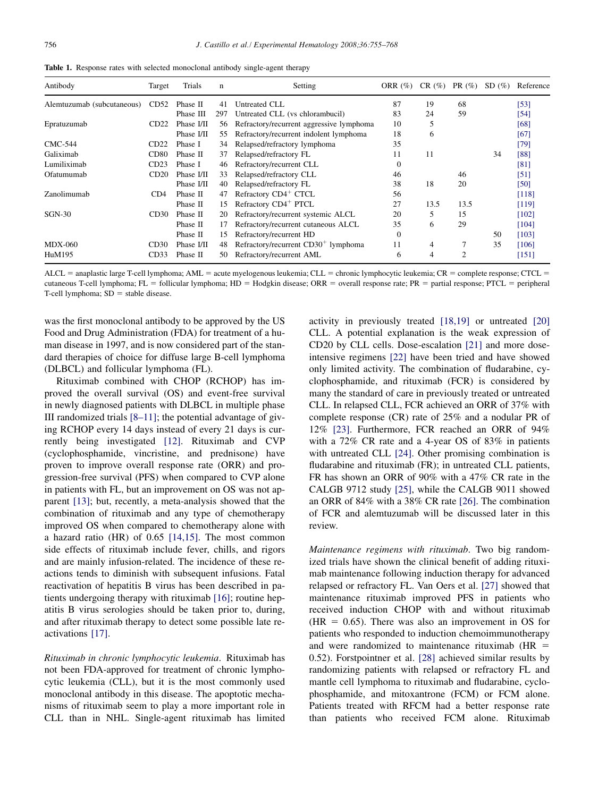<span id="page-1-0"></span>Table 1. Response rates with selected monoclonal antibody single-agent therapy

| Antibody                   | Target | Trials     | $\mathbf n$ | Setting                                  | ORR $(\%)$     | $CR(\%)$       | PR $(\%)$ | SD(%) | Reference |
|----------------------------|--------|------------|-------------|------------------------------------------|----------------|----------------|-----------|-------|-----------|
| Alemtuzumab (subcutaneous) | CD52   | Phase II   | 41          | Untreated CLL                            | 87             | 19             | 68        |       | [53]      |
|                            |        | Phase III  | 297         | Untreated CLL (vs chlorambucil)          | 83             | 24             | 59        |       | [54]      |
| Epratuzumab                | CD22   | Phase I/II | 56          | Refractory/recurrent aggressive lymphoma | 10             | 5              |           |       | [68]      |
|                            |        | Phase I/II | 55          | Refractory/recurrent indolent lymphoma   | 18             | 6              |           |       | [67]      |
| <b>CMC-544</b>             | CD22   | Phase I    | 34          | Relapsed/refractory lymphoma             | 35             |                |           |       | [79]      |
| Galiximab                  | CD80   | Phase II   | 37          | Relapsed/refractory FL                   | 11             | 11             |           | 34    | [88]      |
| Lumiliximab                | CD23   | Phase I    | 46          | Refractory/recurrent CLL                 | $\overline{0}$ |                |           |       | [81]      |
| Ofatumumab                 | CD20   | Phase I/II | 33          | Relapsed/refractory CLL                  | 46             |                | 46        |       | [51]      |
|                            |        | Phase I/II | 40          | Relapsed/refractory FL                   | 38             | 18             | 20        |       | [50]      |
| Zanolimumab                | CD4    | Phase II   | 47          | Refractory CD4 <sup>+</sup> CTCL         | 56             |                |           |       | [118]     |
|                            |        | Phase II   | 15          | Refractory CD4 <sup>+</sup> PTCL         | 27             | 13.5           | 13.5      |       | [119]     |
| $SGN-30$                   | CD30   | Phase II   | 20          | Refractory/recurrent systemic ALCL       | 20             | 5              | 15        |       | [102]     |
|                            |        | Phase II   | 17          | Refractory/recurrent cutaneous ALCL      | 35             | 6              | 29        |       | [104]     |
|                            |        | Phase II   | 15          | Refractory/recurrent HD                  | $\overline{0}$ |                |           | 50    | [103]     |
| <b>MDX-060</b>             | CD30   | Phase I/II | 48          | Refractory/recurrent $CD30+$ lymphoma    | 11             | $\overline{4}$ | 7         | 35    | [106]     |
| HuM195                     | CD33   | Phase II   | 50          | Refractory/recurrent AML                 | 6              | 4              | 2         |       | [151]     |

 $ALCL =$  anaplastic large T-cell lymphoma; AML = acute myelogenous leukemia; CLL = chronic lymphocytic leukemia; CR = complete response; CTCL = cutaneous T-cell lymphoma; FL = follicular lymphoma; HD = Hodgkin disease; ORR = overall response rate; PR = partial response; PTCL = peripheral T-cell lymphoma;  $SD =$  stable disease.

was the first monoclonal antibody to be approved by the US Food and Drug Administration (FDA) for treatment of a human disease in 1997, and is now considered part of the standard therapies of choice for diffuse large B-cell lymphoma (DLBCL) and follicular lymphoma (FL).

Rituximab combined with CHOP (RCHOP) has improved the overall survival (OS) and event-free survival in newly diagnosed patients with DLBCL in multiple phase III randomized trials  $[8-11]$ ; the potential advantage of giving RCHOP every 14 days instead of every 21 days is currently being investigated [\[12\]](#page-9-0). Rituximab and CVP (cyclophosphamide, vincristine, and prednisone) have proven to improve overall response rate (ORR) and progression-free survival (PFS) when compared to CVP alone in patients with FL, but an improvement on OS was not apparent [\[13\]](#page-9-0); but, recently, a meta-analysis showed that the combination of rituximab and any type of chemotherapy improved OS when compared to chemotherapy alone with a hazard ratio (HR) of 0.65 [\[14,15\].](#page-9-0) The most common side effects of rituximab include fever, chills, and rigors and are mainly infusion-related. The incidence of these reactions tends to diminish with subsequent infusions. Fatal reactivation of hepatitis B virus has been described in patients undergoing therapy with rituximab [\[16\];](#page-9-0) routine hepatitis B virus serologies should be taken prior to, during, and after rituximab therapy to detect some possible late reactivations [\[17\]](#page-9-0).

Rituximab in chronic lymphocytic leukemia. Rituximab has not been FDA-approved for treatment of chronic lymphocytic leukemia (CLL), but it is the most commonly used monoclonal antibody in this disease. The apoptotic mechanisms of rituximab seem to play a more important role in CLL than in NHL. Single-agent rituximab has limited activity in previously treated [\[18,19\]](#page-9-0) or untreated [\[20\]](#page-9-0) CLL. A potential explanation is the weak expression of CD20 by CLL cells. Dose-escalation [\[21\]](#page-9-0) and more doseintensive regimens [\[22\]](#page-9-0) have been tried and have showed only limited activity. The combination of fludarabine, cyclophosphamide, and rituximab (FCR) is considered by many the standard of care in previously treated or untreated CLL. In relapsed CLL, FCR achieved an ORR of 37% with complete response (CR) rate of 25% and a nodular PR of 12% [\[23\]](#page-9-0). Furthermore, FCR reached an ORR of 94% with a 72% CR rate and a 4-year OS of 83% in patients with untreated CLL [\[24\].](#page-9-0) Other promising combination is fludarabine and rituximab (FR); in untreated CLL patients, FR has shown an ORR of 90% with a 47% CR rate in the CALGB 9712 study [\[25\],](#page-9-0) while the CALGB 9011 showed an ORR of 84% with a 38% CR rate [\[26\].](#page-9-0) The combination of FCR and alemtuzumab will be discussed later in this review.

Maintenance regimens with rituximab. Two big randomized trials have shown the clinical benefit of adding rituximab maintenance following induction therapy for advanced relapsed or refractory FL. Van Oers et al. [\[27\]](#page-9-0) showed that maintenance rituximab improved PFS in patients who received induction CHOP with and without rituximab  $(HR = 0.65)$ . There was also an improvement in OS for patients who responded to induction chemoimmunotherapy and were randomized to maintenance rituximab ( $HR =$ 0.52). Forstpointner et al. [\[28\]](#page-9-0) achieved similar results by randomizing patients with relapsed or refractory FL and mantle cell lymphoma to rituximab and fludarabine, cyclophosphamide, and mitoxantrone (FCM) or FCM alone. Patients treated with RFCM had a better response rate than patients who received FCM alone. Rituximab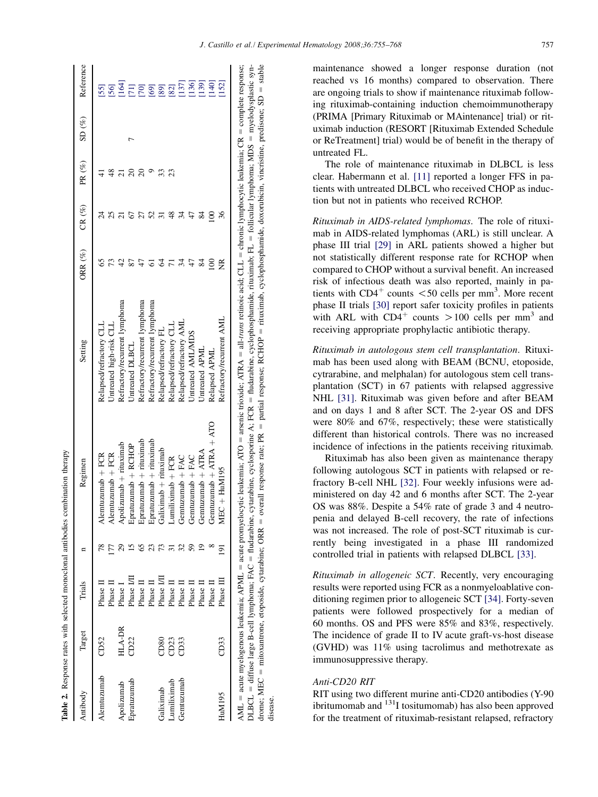<span id="page-2-0"></span>

|             |                  | Trials     |                  |                         | Setting                       | ORR $(\%)$ | CR $(%)$ | PR (%) | $\mathrm{SD}~(\%)$ | Reference          |
|-------------|------------------|------------|------------------|-------------------------|-------------------------------|------------|----------|--------|--------------------|--------------------|
| Antibody    | Target           |            |                  | Regimen                 |                               |            |          |        |                    |                    |
| Alemtuzunab | CD <sub>52</sub> | Phase II   |                  | Alemtuzumab + FCR       | Relapsed/refractory CLL       |            |          |        |                    | $[55]$             |
|             |                  | Phase II   |                  | Alemtuzumab + FCR       | Untreated high-risk CLL       |            |          |        |                    | [56]               |
| Apolizumab  | HLA-DR           | Phase I    |                  | Apolizumab + rituximab  | Refractory/recurrent lymphoma |            |          |        |                    |                    |
| Epratuzumab | CD22             | Phase I/II |                  | Epratuzumab + RCHOP     | Untreated DLBCL               |            |          |        |                    | $\frac{164}{1711}$ |
|             |                  | Phase II   |                  | Epratuzumab + rituximab | Refractory/recurrent lymphoma |            |          |        |                    |                    |
|             |                  | Phase II   |                  | Epratuzumab + rituximab | Refractory/recurrent lymphoma |            |          |        |                    |                    |
| Galiximab   | CD80             | Phase I/II |                  | Galiximab + rituximab   | Relapsed/refractory FL        |            |          |        |                    |                    |
| Lumiliximab | CD23             | Phase II   |                  | $Lumiliximab + FCR$     | Relapsed/refractory CLL       |            |          | Z      |                    |                    |
| Gemtuzumab  | CD33             | Phase II   |                  | Gentuzumab + FAC        | Relapsed/refractory AML       |            |          |        |                    | 0.6688827          |
|             |                  | Phase II   |                  | Gemtuzumab + FAC        | Untreated AML/MDS             |            |          |        |                    |                    |
|             |                  | Phase II   |                  | Gemtuzumab + ATRA       | Untreated APML                |            |          |        |                    | 139]               |
|             |                  | Phase II   |                  | Gemtuzumab + ATRA + ATO | Relapsed APML                 |            |          |        |                    | [140]              |
| HuM195      | CD33             | Phase III  | $\overline{191}$ | $C + Hull195$<br>Ř      | Refractory/recurrent AML      |            |          |        |                    | 152]               |

DLBCL diffuse large B-cell lymphoma; FAC fludarabine, cytarabine, cyclosporine A; FCR fludarabine, cyclophosphamide, rituximab; FL follicular lymphoma; MDS myelodysplastic syndrome; MEC mitoxantrone, etoposide, cytarabine; ORR overall response rate; PR partial response; RCHOP rituximab, cyclophosphamide, doxorubicin, vincristine, predisone; SD = stable disease. maintenance showed a longer response duration (not reached vs 16 months) compared to observation. There are ongoing trials to show if maintenance rituximab following rituximab-containing induction chemoimmunotherapy (PRIMA [Primary Rituximab or MAintenance] trial) or rituximab induction (RESORT [Rituximab Extended Schedule or ReTreatment] trial) would be of benefit in the therapy of untreated FL.

The role of maintenance rituximab in DLBCL is less clear. Habermann et al. [\[11\]](#page-9-0) reported a longer FFS in patients with untreated DLBCL who received CHOP as induction but not in patients who received RCHOP.

Rituximab in AIDS-related lymphomas. The role of rituximab in AIDS-related lymphomas (ARL) is still unclear. A phase III trial [\[29\]](#page-9-0) in ARL patients showed a higher but not statistically different response rate for RCHOP when compared to CHOP without a survival benefit. An increased risk of infectious death was also reported, mainly in patients with  $CD4^+$  counts  $<$  50 cells per mm<sup>3</sup>. More recent phase II trials [\[30\]](#page-10-0) report safer toxicity profiles in patients with ARL with  $CD4^+$  counts  $>100$  cells per mm<sup>3</sup> and receiving appropriate prophylactic antibiotic therapy.

Rituximab in autologous stem cell transplantation. Rituximab has been used along with BEAM (BCNU, etoposide, cytrarabine, and melphalan) for autologous stem cell transplantation (SCT) in 67 patients with relapsed aggressive NHL [\[31\]](#page-10-0). Rituximab was given before and after BEAM and on days 1 and 8 after SCT. The 2-year OS and DFS were 80% and 67%, respectively; these were statistically different than historical controls. There was no increased incidence of infections in the patients receiving rituximab.

Rituximab has also been given as maintenance therapy following autologous SCT in patients with relapsed or refractory B-cell NHL [\[32\]](#page-10-0). Four weekly infusions were administered on day 42 and 6 months after SCT. The 2-year OS was 88%. Despite a 54% rate of grade 3 and 4 neutropenia and delayed B-cell recovery, the rate of infections was not increased. The role of post-SCT rituximab is currently being investigated in a phase III randomized controlled trial in patients with relapsed DLBCL [\[33\]](#page-10-0).

Rituximab in allogeneic SCT. Recently, very encouraging results were reported using FCR as a nonmyeloablative conditioning regimen prior to allogeneic SCT [\[34\].](#page-10-0) Forty-seven patients were followed prospectively for a median of 60 months. OS and PFS were 85% and 83%, respectively. The incidence of grade II to IV acute graft-vs-host disease (GVHD) was 11% using tacrolimus and methotrexate as immunosuppressive therapy.

# Anti-CD20 RIT

RIT using two different murine anti-CD20 antibodies (Y-90 ibritumomab and 131I tositumomab) has also been approved for the treatment of rituximab-resistant relapsed, refractory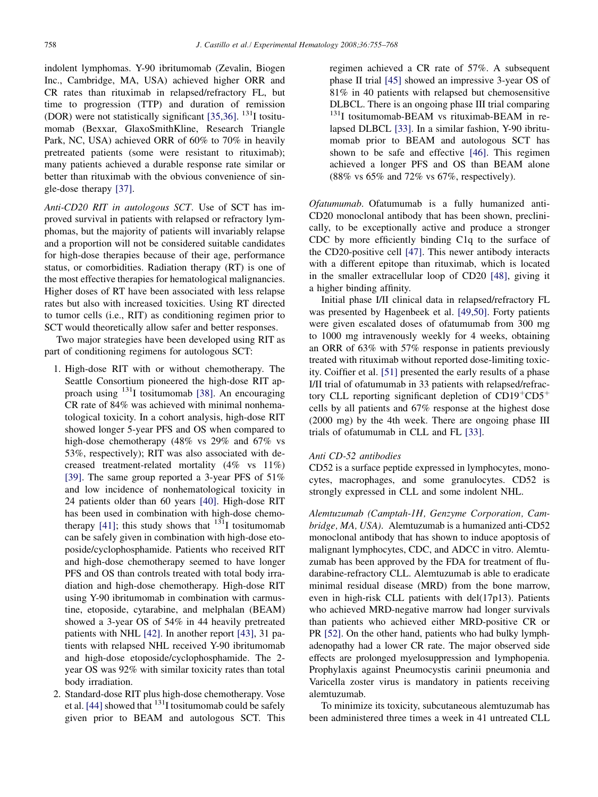indolent lymphomas. Y-90 ibritumomab (Zevalin, Biogen Inc., Cambridge, MA, USA) achieved higher ORR and CR rates than rituximab in relapsed/refractory FL, but time to progression (TTP) and duration of remission (DOR) were not statistically significant  $[35,36]$ . <sup>131</sup>I tositumomab (Bexxar, GlaxoSmithKline, Research Triangle Park, NC, USA) achieved ORR of 60% to 70% in heavily pretreated patients (some were resistant to rituximab); many patients achieved a durable response rate similar or better than rituximab with the obvious convenience of single-dose therapy [\[37\]](#page-10-0).

Anti-CD20 RIT in autologous SCT. Use of SCT has improved survival in patients with relapsed or refractory lymphomas, but the majority of patients will invariably relapse and a proportion will not be considered suitable candidates for high-dose therapies because of their age, performance status, or comorbidities. Radiation therapy (RT) is one of the most effective therapies for hematological malignancies. Higher doses of RT have been associated with less relapse rates but also with increased toxicities. Using RT directed to tumor cells (i.e., RIT) as conditioning regimen prior to SCT would theoretically allow safer and better responses.

Two major strategies have been developed using RIT as part of conditioning regimens for autologous SCT:

- 1. High-dose RIT with or without chemotherapy. The Seattle Consortium pioneered the high-dose RIT approach using  $131$ I tositumomab [\[38\].](#page-10-0) An encouraging CR rate of 84% was achieved with minimal nonhematological toxicity. In a cohort analysis, high-dose RIT showed longer 5-year PFS and OS when compared to high-dose chemotherapy (48% vs 29% and 67% vs 53%, respectively); RIT was also associated with decreased treatment-related mortality (4% vs 11%) [\[39\]](#page-10-0). The same group reported a 3-year PFS of 51% and low incidence of nonhematological toxicity in 24 patients older than 60 years [\[40\]](#page-10-0). High-dose RIT has been used in combination with high-dose chemo-therapy [\[41\]](#page-10-0); this study shows that  $131$  tositumomab can be safely given in combination with high-dose etoposide/cyclophosphamide. Patients who received RIT and high-dose chemotherapy seemed to have longer PFS and OS than controls treated with total body irradiation and high-dose chemotherapy. High-dose RIT using Y-90 ibritumomab in combination with carmustine, etoposide, cytarabine, and melphalan (BEAM) showed a 3-year OS of 54% in 44 heavily pretreated patients with NHL [\[42\]](#page-10-0). In another report [\[43\]](#page-10-0), 31 patients with relapsed NHL received Y-90 ibritumomab and high-dose etoposide/cyclophosphamide. The 2 year OS was 92% with similar toxicity rates than total body irradiation.
- 2. Standard-dose RIT plus high-dose chemotherapy. Vose et al. [\[44\]](#page-10-0) showed that  $131$  I tositumomab could be safely given prior to BEAM and autologous SCT. This

regimen achieved a CR rate of 57%. A subsequent phase II trial [\[45\]](#page-10-0) showed an impressive 3-year OS of 81% in 40 patients with relapsed but chemosensitive DLBCL. There is an ongoing phase III trial comparing <sup>131</sup>I tositumomab-BEAM vs rituximab-BEAM in relapsed DLBCL [\[33\].](#page-10-0) In a similar fashion, Y-90 ibritumomab prior to BEAM and autologous SCT has shown to be safe and effective [\[46\]](#page-10-0). This regimen achieved a longer PFS and OS than BEAM alone (88% vs 65% and 72% vs 67%, respectively).

Ofatumumab. Ofatumumab is a fully humanized anti-CD20 monoclonal antibody that has been shown, preclinically, to be exceptionally active and produce a stronger CDC by more efficiently binding C1q to the surface of the CD20-positive cell [\[47\]](#page-10-0). This newer antibody interacts with a different epitope than rituximab, which is located in the smaller extracellular loop of CD20 [\[48\],](#page-10-0) giving it a higher binding affinity.

Initial phase I/II clinical data in relapsed/refractory FL was presented by Hagenbeek et al. [\[49,50\].](#page-10-0) Forty patients were given escalated doses of ofatumumab from 300 mg to 1000 mg intravenously weekly for 4 weeks, obtaining an ORR of 63% with 57% response in patients previously treated with rituximab without reported dose-limiting toxicity. Coiffier et al. [\[51\]](#page-10-0) presented the early results of a phase I/II trial of ofatumumab in 33 patients with relapsed/refractory CLL reporting significant depletion of  $CD19^+CD5^+$ cells by all patients and 67% response at the highest dose (2000 mg) by the 4th week. There are ongoing phase III trials of ofatumumab in CLL and FL [\[33\].](#page-10-0)

# Anti CD-52 antibodies

CD52 is a surface peptide expressed in lymphocytes, monocytes, macrophages, and some granulocytes. CD52 is strongly expressed in CLL and some indolent NHL.

Alemtuzumab (Camptah-1H, Genzyme Corporation, Cambridge, MA, USA). Alemtuzumab is a humanized anti-CD52 monoclonal antibody that has shown to induce apoptosis of malignant lymphocytes, CDC, and ADCC in vitro. Alemtuzumab has been approved by the FDA for treatment of fludarabine-refractory CLL. Alemtuzumab is able to eradicate minimal residual disease (MRD) from the bone marrow, even in high-risk CLL patients with del(17p13). Patients who achieved MRD-negative marrow had longer survivals than patients who achieved either MRD-positive CR or PR [\[52\].](#page-10-0) On the other hand, patients who had bulky lymphadenopathy had a lower CR rate. The major observed side effects are prolonged myelosuppression and lymphopenia. Prophylaxis against Pneumocystis carinii pneumonia and Varicella zoster virus is mandatory in patients receiving alemtuzumab.

To minimize its toxicity, subcutaneous alemtuzumab has been administered three times a week in 41 untreated CLL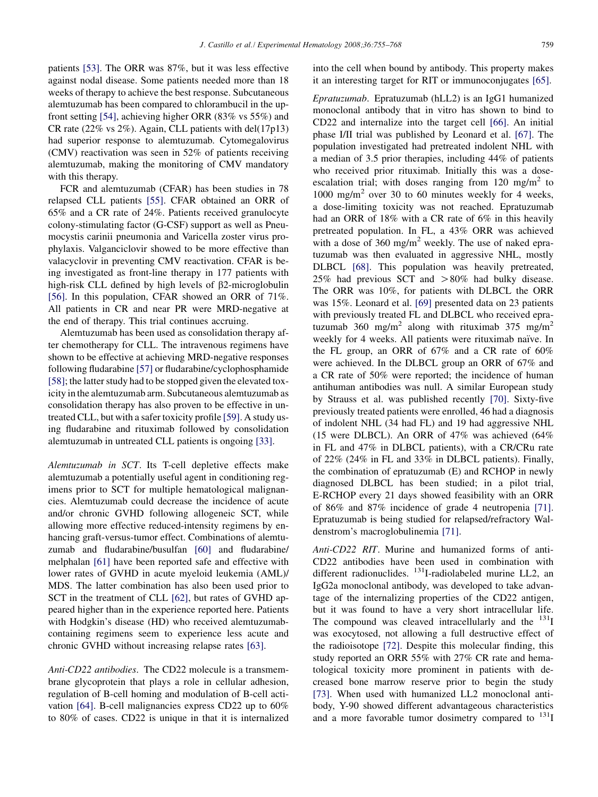patients [\[53\].](#page-10-0) The ORR was 87%, but it was less effective against nodal disease. Some patients needed more than 18 weeks of therapy to achieve the best response. Subcutaneous alemtuzumab has been compared to chlorambucil in the upfront setting [\[54\],](#page-10-0) achieving higher ORR (83% vs 55%) and CR rate  $(22\% \text{ vs } 2\%)$ . Again, CLL patients with del $(17p13)$ had superior response to alemtuzumab. Cytomegalovirus (CMV) reactivation was seen in 52% of patients receiving alemtuzumab, making the monitoring of CMV mandatory with this therapy.

FCR and alemtuzumab (CFAR) has been studies in 78 relapsed CLL patients [\[55\]](#page-10-0). CFAR obtained an ORR of 65% and a CR rate of 24%. Patients received granulocyte colony-stimulating factor (G-CSF) support as well as Pneumocystis carinii pneumonia and Varicella zoster virus prophylaxis. Valganciclovir showed to be more effective than valacyclovir in preventing CMV reactivation. CFAR is being investigated as front-line therapy in 177 patients with high-risk CLL defined by high levels of  $\beta$ 2-microglobulin [\[56\]](#page-10-0). In this population, CFAR showed an ORR of 71%. All patients in CR and near PR were MRD-negative at the end of therapy. This trial continues accruing.

Alemtuzumab has been used as consolidation therapy after chemotherapy for CLL. The intravenous regimens have shown to be effective at achieving MRD-negative responses following fludarabine [\[57\]](#page-10-0) or fludarabine/cyclophosphamide [\[58\]](#page-10-0); the latter study had to be stopped given the elevated toxicity in the alemtuzumab arm. Subcutaneous alemtuzumab as consolidation therapy has also proven to be effective in untreated CLL, but with a safer toxicity profile [\[59\]](#page-10-0). A study using fludarabine and rituximab followed by consolidation alemtuzumab in untreated CLL patients is ongoing [\[33\].](#page-10-0)

Alemtuzumab in SCT. Its T-cell depletive effects make alemtuzumab a potentially useful agent in conditioning regimens prior to SCT for multiple hematological malignancies. Alemtuzumab could decrease the incidence of acute and/or chronic GVHD following allogeneic SCT, while allowing more effective reduced-intensity regimens by enhancing graft-versus-tumor effect. Combinations of alemtuzumab and fludarabine/busulfan [\[60\]](#page-10-0) and fludarabine/ melphalan [\[61\]](#page-10-0) have been reported safe and effective with lower rates of GVHD in acute myeloid leukemia (AML)/ MDS. The latter combination has also been used prior to SCT in the treatment of CLL [\[62\],](#page-11-0) but rates of GVHD appeared higher than in the experience reported here. Patients with Hodgkin's disease (HD) who received alemtuzumabcontaining regimens seem to experience less acute and chronic GVHD without increasing relapse rates [\[63\].](#page-11-0)

Anti-CD22 antibodies. The CD22 molecule is a transmembrane glycoprotein that plays a role in cellular adhesion, regulation of B-cell homing and modulation of B-cell activation [\[64\].](#page-11-0) B-cell malignancies express CD22 up to 60% to 80% of cases. CD22 is unique in that it is internalized into the cell when bound by antibody. This property makes it an interesting target for RIT or immunoconjugates [\[65\]](#page-11-0).

Epratuzumab. Epratuzumab (hLL2) is an IgG1 humanized monoclonal antibody that in vitro has shown to bind to CD22 and internalize into the target cell [\[66\]](#page-11-0). An initial phase I/II trial was published by Leonard et al. [\[67\]](#page-11-0). The population investigated had pretreated indolent NHL with a median of 3.5 prior therapies, including 44% of patients who received prior rituximab. Initially this was a doseescalation trial; with doses ranging from 120 mg/m<sup>2</sup> to  $1000 \text{ mg/m}^2$  over 30 to 60 minutes weekly for 4 weeks, a dose-limiting toxicity was not reached. Epratuzumab had an ORR of 18% with a CR rate of 6% in this heavily pretreated population. In FL, a 43% ORR was achieved with a dose of  $360 \text{ mg/m}^2$  weekly. The use of naked epratuzumab was then evaluated in aggressive NHL, mostly DLBCL [\[68\].](#page-11-0) This population was heavily pretreated, 25% had previous SCT and  $>80\%$  had bulky disease. The ORR was 10%, for patients with DLBCL the ORR was 15%. Leonard et al. [\[69\]](#page-11-0) presented data on 23 patients with previously treated FL and DLBCL who received epratuzumab 360 mg/m<sup>2</sup> along with rituximab 375 mg/m<sup>2</sup> weekly for 4 weeks. All patients were rituximab naïve. In the FL group, an ORR of 67% and a CR rate of 60% were achieved. In the DLBCL group an ORR of 67% and a CR rate of 50% were reported; the incidence of human antihuman antibodies was null. A similar European study by Strauss et al. was published recently [\[70\]](#page-11-0). Sixty-five previously treated patients were enrolled, 46 had a diagnosis of indolent NHL (34 had FL) and 19 had aggressive NHL (15 were DLBCL). An ORR of 47% was achieved (64% in FL and 47% in DLBCL patients), with a CR/CRu rate of 22% (24% in FL and 33% in DLBCL patients). Finally, the combination of epratuzumab (E) and RCHOP in newly diagnosed DLBCL has been studied; in a pilot trial, E-RCHOP every 21 days showed feasibility with an ORR of 86% and 87% incidence of grade 4 neutropenia [\[71\]](#page-11-0). Epratuzumab is being studied for relapsed/refractory Waldenstrom's macroglobulinemia [\[71\].](#page-11-0)

Anti-CD22 RIT. Murine and humanized forms of anti-CD22 antibodies have been used in combination with different radionuclides. <sup>131</sup>I-radiolabeled murine LL2, an IgG2a monoclonal antibody, was developed to take advantage of the internalizing properties of the CD22 antigen, but it was found to have a very short intracellular life. The compound was cleaved intracellularly and the  $^{131}I$ was exocytosed, not allowing a full destructive effect of the radioisotope [\[72\]](#page-11-0). Despite this molecular finding, this study reported an ORR 55% with 27% CR rate and hematological toxicity more prominent in patients with decreased bone marrow reserve prior to begin the study [\[73\]](#page-11-0). When used with humanized LL2 monoclonal antibody, Y-90 showed different advantageous characteristics and a more favorable tumor dosimetry compared to  $131$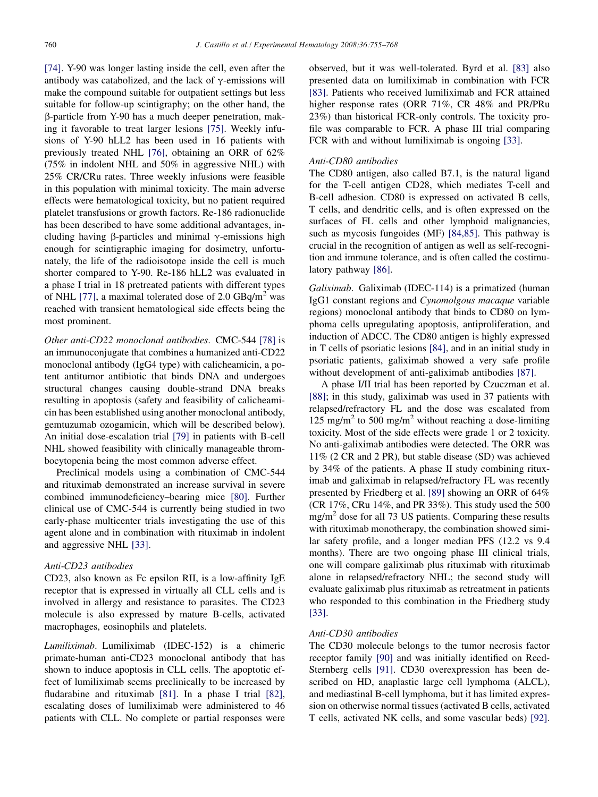[\[74\].](#page-11-0) Y-90 was longer lasting inside the cell, even after the antibody was catabolized, and the lack of  $\gamma$ -emissions will make the compound suitable for outpatient settings but less suitable for follow-up scintigraphy; on the other hand, the b-particle from Y-90 has a much deeper penetration, making it favorable to treat larger lesions [\[75\].](#page-11-0) Weekly infusions of Y-90 hLL2 has been used in 16 patients with previously treated NHL [\[76\],](#page-11-0) obtaining an ORR of 62% (75% in indolent NHL and 50% in aggressive NHL) with 25% CR/CRu rates. Three weekly infusions were feasible in this population with minimal toxicity. The main adverse effects were hematological toxicity, but no patient required platelet transfusions or growth factors. Re-186 radionuclide has been described to have some additional advantages, including having  $\beta$ -particles and minimal  $\gamma$ -emissions high enough for scintigraphic imaging for dosimetry, unfortunately, the life of the radioisotope inside the cell is much shorter compared to Y-90. Re-186 hLL2 was evaluated in a phase I trial in 18 pretreated patients with different types of NHL [\[77\]](#page-11-0), a maximal tolerated dose of  $2.0 \text{ GBq/m}^2$  was reached with transient hematological side effects being the most prominent.

Other anti-CD22 monoclonal antibodies. CMC-544 [\[78\]](#page-11-0) is an immunoconjugate that combines a humanized anti-CD22 monoclonal antibody (IgG4 type) with calicheamicin, a potent antitumor antibiotic that binds DNA and undergoes structural changes causing double-strand DNA breaks resulting in apoptosis (safety and feasibility of calicheamicin has been established using another monoclonal antibody, gemtuzumab ozogamicin, which will be described below). An initial dose-escalation trial [\[79\]](#page-11-0) in patients with B-cell NHL showed feasibility with clinically manageable thrombocytopenia being the most common adverse effect.

Preclinical models using a combination of CMC-544 and rituximab demonstrated an increase survival in severe combined immunodeficiency–bearing mice [\[80\].](#page-11-0) Further clinical use of CMC-544 is currently being studied in two early-phase multicenter trials investigating the use of this agent alone and in combination with rituximab in indolent and aggressive NHL [\[33\]](#page-10-0).

# Anti-CD23 antibodies

CD23, also known as Fc epsilon RII, is a low-affinity IgE receptor that is expressed in virtually all CLL cells and is involved in allergy and resistance to parasites. The CD23 molecule is also expressed by mature B-cells, activated macrophages, eosinophils and platelets.

Lumiliximab. Lumiliximab (IDEC-152) is a chimeric primate-human anti-CD23 monoclonal antibody that has shown to induce apoptosis in CLL cells. The apoptotic effect of lumiliximab seems preclinically to be increased by fludarabine and rituximab [\[81\].](#page-11-0) In a phase I trial [\[82\],](#page-11-0) escalating doses of lumiliximab were administered to 46 patients with CLL. No complete or partial responses were

observed, but it was well-tolerated. Byrd et al. [\[83\]](#page-11-0) also presented data on lumiliximab in combination with FCR [\[83\].](#page-11-0) Patients who received lumiliximab and FCR attained higher response rates (ORR 71%, CR 48% and PR/PRu 23%) than historical FCR-only controls. The toxicity profile was comparable to FCR. A phase III trial comparing FCR with and without lumiliximab is ongoing [\[33\].](#page-10-0)

#### Anti-CD80 antibodies

The CD80 antigen, also called B7.1, is the natural ligand for the T-cell antigen CD28, which mediates T-cell and B-cell adhesion. CD80 is expressed on activated B cells, T cells, and dendritic cells, and is often expressed on the surfaces of FL cells and other lymphoid malignancies, such as mycosis fungoides (MF) [\[84,85\]](#page-11-0). This pathway is crucial in the recognition of antigen as well as self-recognition and immune tolerance, and is often called the costimulatory pathway [\[86\].](#page-11-0)

Galiximab. Galiximab (IDEC-114) is a primatized (human IgG1 constant regions and Cynomolgous macaque variable regions) monoclonal antibody that binds to CD80 on lymphoma cells upregulating apoptosis, antiproliferation, and induction of ADCC. The CD80 antigen is highly expressed in T cells of psoriatic lesions [\[84\],](#page-11-0) and in an initial study in psoriatic patients, galiximab showed a very safe profile without development of anti-galiximab antibodies [\[87\]](#page-11-0).

A phase I/II trial has been reported by Czuczman et al. [\[88\];](#page-11-0) in this study, galiximab was used in 37 patients with relapsed/refractory FL and the dose was escalated from 125 mg/m<sup>2</sup> to 500 mg/m<sup>2</sup> without reaching a dose-limiting toxicity. Most of the side effects were grade 1 or 2 toxicity. No anti-galiximab antibodies were detected. The ORR was 11% (2 CR and 2 PR), but stable disease (SD) was achieved by 34% of the patients. A phase II study combining rituximab and galiximab in relapsed/refractory FL was recently presented by Friedberg et al. [\[89\]](#page-11-0) showing an ORR of 64% (CR 17%, CRu 14%, and PR 33%). This study used the 500 mg/m<sup>2</sup> dose for all 73 US patients. Comparing these results with rituximab monotherapy, the combination showed similar safety profile, and a longer median PFS (12.2 vs 9.4 months). There are two ongoing phase III clinical trials, one will compare galiximab plus rituximab with rituximab alone in relapsed/refractory NHL; the second study will evaluate galiximab plus rituximab as retreatment in patients who responded to this combination in the Friedberg study [\[33\].](#page-10-0)

# Anti-CD30 antibodies

The CD30 molecule belongs to the tumor necrosis factor receptor family [\[90\]](#page-11-0) and was initially identified on Reed-Sternberg cells [\[91\].](#page-11-0) CD30 overexpression has been described on HD, anaplastic large cell lymphoma (ALCL), and mediastinal B-cell lymphoma, but it has limited expression on otherwise normal tissues (activated B cells, activated T cells, activated NK cells, and some vascular beds) [\[92\].](#page-11-0)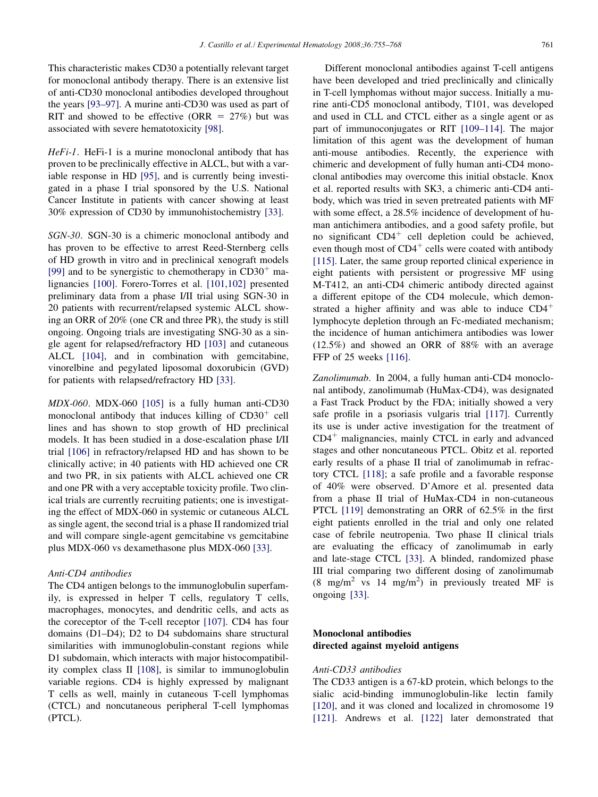This characteristic makes CD30 a potentially relevant target for monoclonal antibody therapy. There is an extensive list of anti-CD30 monoclonal antibodies developed throughout the years [\[93–97\]](#page-11-0). A murine anti-CD30 was used as part of RIT and showed to be effective (ORR  $= 27\%$ ) but was associated with severe hematotoxicity [\[98\]](#page-12-0).

 $HeFi-I$ . HeFi-1 is a murine monoclonal antibody that has proven to be preclinically effective in ALCL, but with a variable response in HD [\[95\]](#page-11-0), and is currently being investigated in a phase I trial sponsored by the U.S. National Cancer Institute in patients with cancer showing at least 30% expression of CD30 by immunohistochemistry [\[33\].](#page-10-0)

SGN-30. SGN-30 is a chimeric monoclonal antibody and has proven to be effective to arrest Reed-Sternberg cells of HD growth in vitro and in preclinical xenograft models [\[99\]](#page-12-0) and to be synergistic to chemotherapy in  $CD30<sup>+</sup>$  malignancies [\[100\]](#page-12-0). Forero-Torres et al. [\[101,102\]](#page-12-0) presented preliminary data from a phase I/II trial using SGN-30 in 20 patients with recurrent/relapsed systemic ALCL showing an ORR of 20% (one CR and three PR), the study is still ongoing. Ongoing trials are investigating SNG-30 as a single agent for relapsed/refractory HD [\[103\]](#page-12-0) and cutaneous ALCL [\[104\]](#page-12-0), and in combination with gemcitabine, vinorelbine and pegylated liposomal doxorubicin (GVD) for patients with relapsed/refractory HD [\[33\].](#page-10-0)

MDX-060. MDX-060 [\[105\]](#page-12-0) is a fully human anti-CD30 monoclonal antibody that induces killing of  $CD30<sup>+</sup>$  cell lines and has shown to stop growth of HD preclinical models. It has been studied in a dose-escalation phase I/II trial [\[106\]](#page-12-0) in refractory/relapsed HD and has shown to be clinically active; in 40 patients with HD achieved one CR and two PR, in six patients with ALCL achieved one CR and one PR with a very acceptable toxicity profile. Two clinical trials are currently recruiting patients; one is investigating the effect of MDX-060 in systemic or cutaneous ALCL as single agent, the second trial is a phase II randomized trial and will compare single-agent gemcitabine vs gemcitabine plus MDX-060 vs dexamethasone plus MDX-060 [\[33\].](#page-10-0)

#### Anti-CD4 antibodies

The CD4 antigen belongs to the immunoglobulin superfamily, is expressed in helper T cells, regulatory T cells, macrophages, monocytes, and dendritic cells, and acts as the coreceptor of the T-cell receptor [\[107\].](#page-12-0) CD4 has four domains (D1–D4); D2 to D4 subdomains share structural similarities with immunoglobulin-constant regions while D1 subdomain, which interacts with major histocompatibility complex class II [\[108\]](#page-12-0), is similar to immunoglobulin variable regions. CD4 is highly expressed by malignant T cells as well, mainly in cutaneous T-cell lymphomas (CTCL) and noncutaneous peripheral T-cell lymphomas (PTCL).

Different monoclonal antibodies against T-cell antigens have been developed and tried preclinically and clinically in T-cell lymphomas without major success. Initially a murine anti-CD5 monoclonal antibody, T101, was developed and used in CLL and CTCL either as a single agent or as part of immunoconjugates or RIT [\[109–114\]](#page-12-0). The major limitation of this agent was the development of human anti-mouse antibodies. Recently, the experience with chimeric and development of fully human anti-CD4 monoclonal antibodies may overcome this initial obstacle. Knox et al. reported results with SK3, a chimeric anti-CD4 antibody, which was tried in seven pretreated patients with MF with some effect, a 28.5% incidence of development of human antichimera antibodies, and a good safety profile, but no significant  $CD4^+$  cell depletion could be achieved, even though most of  $CD4^+$  cells were coated with antibody [\[115\]](#page-12-0). Later, the same group reported clinical experience in eight patients with persistent or progressive MF using M-T412, an anti-CD4 chimeric antibody directed against a different epitope of the CD4 molecule, which demonstrated a higher affinity and was able to induce  $CD4<sup>+</sup>$ lymphocyte depletion through an Fc-mediated mechanism; the incidence of human antichimera antibodies was lower (12.5%) and showed an ORR of 88% with an average FFP of 25 weeks [\[116\]](#page-12-0).

Zanolimumab. In 2004, a fully human anti-CD4 monoclonal antibody, zanolimumab (HuMax-CD4), was designated a Fast Track Product by the FDA; initially showed a very safe profile in a psoriasis vulgaris trial [\[117\]](#page-12-0). Currently its use is under active investigation for the treatment of  $CD4<sup>+</sup>$  malignancies, mainly CTCL in early and advanced stages and other noncutaneous PTCL. Obitz et al. reported early results of a phase II trial of zanolimumab in refractory CTCL [\[118\];](#page-12-0) a safe profile and a favorable response of 40% were observed. D'Amore et al. presented data from a phase II trial of HuMax-CD4 in non-cutaneous PTCL [\[119\]](#page-12-0) demonstrating an ORR of 62.5% in the first eight patients enrolled in the trial and only one related case of febrile neutropenia. Two phase II clinical trials are evaluating the efficacy of zanolimumab in early and late-stage CTCL [\[33\].](#page-10-0) A blinded, randomized phase III trial comparing two different dosing of zanolimumab  $(8 \text{ mg/m}^2 \text{ vs } 14 \text{ mg/m}^2)$  in previously treated MF is ongoing [\[33\]](#page-10-0).

# Monoclonal antibodies directed against myeloid antigens

# Anti-CD33 antibodies

The CD33 antigen is a 67-kD protein, which belongs to the sialic acid-binding immunoglobulin-like lectin family [\[120\]](#page-12-0), and it was cloned and localized in chromosome 19 [\[121\]](#page-12-0). Andrews et al. [\[122\]](#page-12-0) later demonstrated that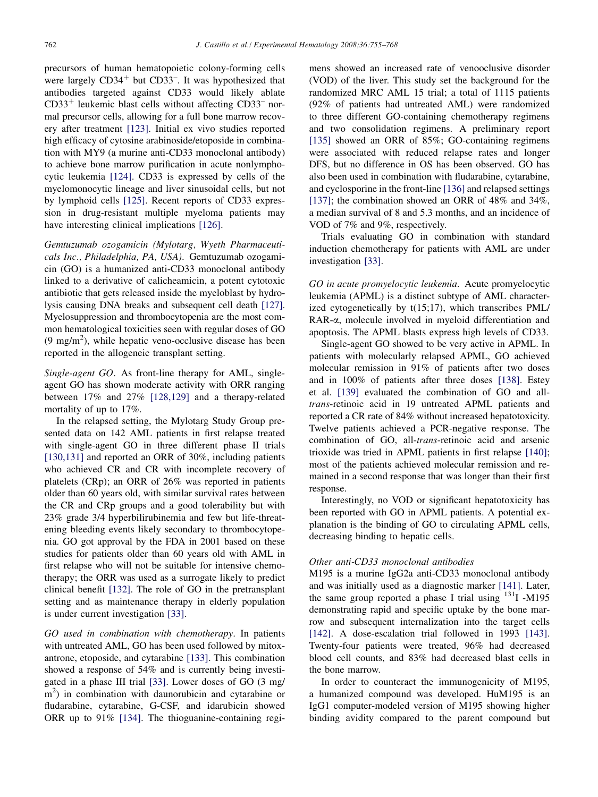precursors of human hematopoietic colony-forming cells were largely  $CD34^+$  but  $CD33^-$ . It was hypothesized that antibodies targeted against CD33 would likely ablate  $CD33<sup>+</sup>$  leukemic blast cells without affecting  $CD33<sup>-</sup>$  normal precursor cells, allowing for a full bone marrow recovery after treatment [\[123\].](#page-12-0) Initial ex vivo studies reported high efficacy of cytosine arabinoside/etoposide in combination with MY9 (a murine anti-CD33 monoclonal antibody) to achieve bone marrow purification in acute nonlymphocytic leukemia [\[124\].](#page-12-0) CD33 is expressed by cells of the myelomonocytic lineage and liver sinusoidal cells, but not by lymphoid cells [\[125\]](#page-12-0). Recent reports of CD33 expression in drug-resistant multiple myeloma patients may have interesting clinical implications [\[126\]](#page-12-0).

Gemtuzumab ozogamicin (Mylotarg, Wyeth Pharmaceuticals Inc., Philadelphia, PA, USA). Gemtuzumab ozogamicin (GO) is a humanized anti-CD33 monoclonal antibody linked to a derivative of calicheamicin, a potent cytotoxic antibiotic that gets released inside the myeloblast by hydrolysis causing DNA breaks and subsequent cell death [\[127\].](#page-12-0) Myelosuppression and thrombocytopenia are the most common hematological toxicities seen with regular doses of GO  $(9 \text{ mg/m}^2)$ , while hepatic veno-occlusive disease has been reported in the allogeneic transplant setting.

Single-agent GO. As front-line therapy for AML, singleagent GO has shown moderate activity with ORR ranging between 17% and 27% [\[128,129\]](#page-12-0) and a therapy-related mortality of up to 17%.

In the relapsed setting, the Mylotarg Study Group presented data on 142 AML patients in first relapse treated with single-agent GO in three different phase II trials [\[130,131\]](#page-12-0) and reported an ORR of 30%, including patients who achieved CR and CR with incomplete recovery of platelets (CRp); an ORR of 26% was reported in patients older than 60 years old, with similar survival rates between the CR and CRp groups and a good tolerability but with 23% grade 3/4 hyperbilirubinemia and few but life-threatening bleeding events likely secondary to thrombocytopenia. GO got approval by the FDA in 2001 based on these studies for patients older than 60 years old with AML in first relapse who will not be suitable for intensive chemotherapy; the ORR was used as a surrogate likely to predict clinical benefit [\[132\].](#page-12-0) The role of GO in the pretransplant setting and as maintenance therapy in elderly population is under current investigation [\[33\]](#page-10-0).

GO used in combination with chemotherapy. In patients with untreated AML, GO has been used followed by mitoxantrone, etoposide, and cytarabine [\[133\].](#page-12-0) This combination showed a response of 54% and is currently being investigated in a phase III trial [\[33\].](#page-10-0) Lower doses of GO (3 mg/ m<sup>2</sup>) in combination with daunorubicin and cytarabine or fludarabine, cytarabine, G-CSF, and idarubicin showed ORR up to 91% [\[134\]](#page-13-0). The thioguanine-containing regimens showed an increased rate of venooclusive disorder (VOD) of the liver. This study set the background for the randomized MRC AML 15 trial; a total of 1115 patients (92% of patients had untreated AML) were randomized to three different GO-containing chemotherapy regimens and two consolidation regimens. A preliminary report [\[135\]](#page-13-0) showed an ORR of 85%; GO-containing regimens were associated with reduced relapse rates and longer DFS, but no difference in OS has been observed. GO has also been used in combination with fludarabine, cytarabine, and cyclosporine in the front-line [\[136\]](#page-13-0) and relapsed settings [\[137\];](#page-13-0) the combination showed an ORR of 48% and 34%, a median survival of 8 and 5.3 months, and an incidence of VOD of 7% and 9%, respectively.

Trials evaluating GO in combination with standard induction chemotherapy for patients with AML are under investigation [\[33\]](#page-10-0).

GO in acute promyelocytic leukemia. Acute promyelocytic leukemia (APML) is a distinct subtype of AML characterized cytogenetically by t(15;17), which transcribes PML/ RAR-a, molecule involved in myeloid differentiation and apoptosis. The APML blasts express high levels of CD33.

Single-agent GO showed to be very active in APML. In patients with molecularly relapsed APML, GO achieved molecular remission in 91% of patients after two doses and in 100% of patients after three doses [\[138\]](#page-13-0). Estey et al. [\[139\]](#page-13-0) evaluated the combination of GO and alltrans-retinoic acid in 19 untreated APML patients and reported a CR rate of 84% without increased hepatotoxicity. Twelve patients achieved a PCR-negative response. The combination of GO, all-trans-retinoic acid and arsenic trioxide was tried in APML patients in first relapse [\[140\]](#page-13-0); most of the patients achieved molecular remission and remained in a second response that was longer than their first response.

Interestingly, no VOD or significant hepatotoxicity has been reported with GO in APML patients. A potential explanation is the binding of GO to circulating APML cells, decreasing binding to hepatic cells.

# Other anti-CD33 monoclonal antibodies

M195 is a murine IgG2a anti-CD33 monoclonal antibody and was initially used as a diagnostic marker [\[141\]](#page-13-0). Later, the same group reported a phase I trial using  $^{131}$ I -M195 demonstrating rapid and specific uptake by the bone marrow and subsequent internalization into the target cells [\[142\].](#page-13-0) A dose-escalation trial followed in 1993 [\[143\].](#page-13-0) Twenty-four patients were treated, 96% had decreased blood cell counts, and 83% had decreased blast cells in the bone marrow.

In order to counteract the immunogenicity of M195, a humanized compound was developed. HuM195 is an IgG1 computer-modeled version of M195 showing higher binding avidity compared to the parent compound but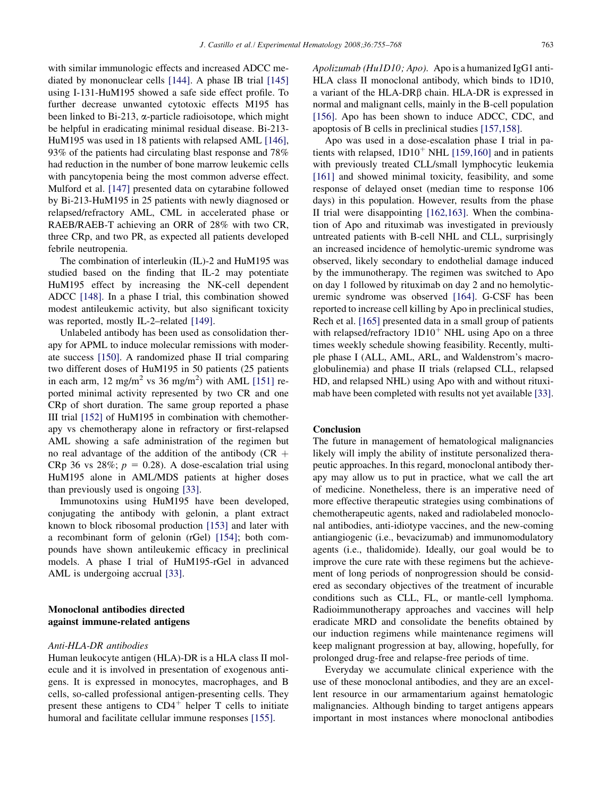with similar immunologic effects and increased ADCC mediated by mononuclear cells [\[144\].](#page-13-0) A phase IB trial [\[145\]](#page-13-0) using I-131-HuM195 showed a safe side effect profile. To further decrease unwanted cytotoxic effects M195 has been linked to Bi-213,  $\alpha$ -particle radioisotope, which might be helpful in eradicating minimal residual disease. Bi-213- HuM195 was used in 18 patients with relapsed AML [\[146\]](#page-13-0), 93% of the patients had circulating blast response and 78% had reduction in the number of bone marrow leukemic cells with pancytopenia being the most common adverse effect. Mulford et al. [\[147\]](#page-13-0) presented data on cytarabine followed by Bi-213-HuM195 in 25 patients with newly diagnosed or relapsed/refractory AML, CML in accelerated phase or RAEB/RAEB-T achieving an ORR of 28% with two CR, three CRp, and two PR, as expected all patients developed febrile neutropenia.

The combination of interleukin (IL)-2 and HuM195 was studied based on the finding that IL-2 may potentiate HuM195 effect by increasing the NK-cell dependent ADCC [\[148\].](#page-13-0) In a phase I trial, this combination showed modest antileukemic activity, but also significant toxicity was reported, mostly IL-2–related [\[149\]](#page-13-0).

Unlabeled antibody has been used as consolidation therapy for APML to induce molecular remissions with moderate success [\[150\].](#page-13-0) A randomized phase II trial comparing two different doses of HuM195 in 50 patients (25 patients in each arm, 12 mg/m<sup>2</sup> vs 36 mg/m<sup>2</sup>) with AML [\[151\]](#page-13-0) reported minimal activity represented by two CR and one CRp of short duration. The same group reported a phase III trial [\[152\]](#page-13-0) of HuM195 in combination with chemotherapy vs chemotherapy alone in refractory or first-relapsed AML showing a safe administration of the regimen but no real advantage of the addition of the antibody (CR  $+$ CRp 36 vs 28%;  $p = 0.28$ ). A dose-escalation trial using HuM195 alone in AML/MDS patients at higher doses than previously used is ongoing [\[33\].](#page-10-0)

Immunotoxins using HuM195 have been developed, conjugating the antibody with gelonin, a plant extract known to block ribosomal production [\[153\]](#page-13-0) and later with a recombinant form of gelonin (rGel) [\[154\];](#page-13-0) both compounds have shown antileukemic efficacy in preclinical models. A phase I trial of HuM195-rGel in advanced AML is undergoing accrual [\[33\].](#page-10-0)

# Monoclonal antibodies directed against immune-related antigens

# Anti-HLA-DR antibodies

Human leukocyte antigen (HLA)-DR is a HLA class II molecule and it is involved in presentation of exogenous antigens. It is expressed in monocytes, macrophages, and B cells, so-called professional antigen-presenting cells. They present these antigens to  $CD4^+$  helper T cells to initiate humoral and facilitate cellular immune responses [\[155\]](#page-13-0).

Apolizumab (Hu1D10; Apo). Apo is a humanized IgG1 anti-HLA class II monoclonal antibody, which binds to 1D10, a variant of the  $HLA-DR\beta$  chain. HLA-DR is expressed in normal and malignant cells, mainly in the B-cell population [\[156\]](#page-13-0). Apo has been shown to induce ADCC, CDC, and apoptosis of B cells in preclinical studies [\[157,158\]](#page-13-0).

Apo was used in a dose-escalation phase I trial in patients with relapsed,  $1D10<sup>+</sup>$  NHL [\[159,160\]](#page-13-0) and in patients with previously treated CLL/small lymphocytic leukemia [\[161\]](#page-13-0) and showed minimal toxicity, feasibility, and some response of delayed onset (median time to response 106 days) in this population. However, results from the phase II trial were disappointing [\[162,163\].](#page-13-0) When the combination of Apo and rituximab was investigated in previously untreated patients with B-cell NHL and CLL, surprisingly an increased incidence of hemolytic-uremic syndrome was observed, likely secondary to endothelial damage induced by the immunotherapy. The regimen was switched to Apo on day 1 followed by rituximab on day 2 and no hemolyticuremic syndrome was observed [\[164\].](#page-13-0) G-CSF has been reported to increase cell killing by Apo in preclinical studies, Rech et al. [\[165\]](#page-13-0) presented data in a small group of patients with relapsed/refractory  $1D10<sup>+</sup>$  NHL using Apo on a three times weekly schedule showing feasibility. Recently, multiple phase I (ALL, AML, ARL, and Waldenstrom's macroglobulinemia) and phase II trials (relapsed CLL, relapsed HD, and relapsed NHL) using Apo with and without rituximab have been completed with results not yet available [\[33\]](#page-10-0).

#### Conclusion

The future in management of hematological malignancies likely will imply the ability of institute personalized therapeutic approaches. In this regard, monoclonal antibody therapy may allow us to put in practice, what we call the art of medicine. Nonetheless, there is an imperative need of more effective therapeutic strategies using combinations of chemotherapeutic agents, naked and radiolabeled monoclonal antibodies, anti-idiotype vaccines, and the new-coming antiangiogenic (i.e., bevacizumab) and immunomodulatory agents (i.e., thalidomide). Ideally, our goal would be to improve the cure rate with these regimens but the achievement of long periods of nonprogression should be considered as secondary objectives of the treatment of incurable conditions such as CLL, FL, or mantle-cell lymphoma. Radioimmunotherapy approaches and vaccines will help eradicate MRD and consolidate the benefits obtained by our induction regimens while maintenance regimens will keep malignant progression at bay, allowing, hopefully, for prolonged drug-free and relapse-free periods of time.

Everyday we accumulate clinical experience with the use of these monoclonal antibodies, and they are an excellent resource in our armamentarium against hematologic malignancies. Although binding to target antigens appears important in most instances where monoclonal antibodies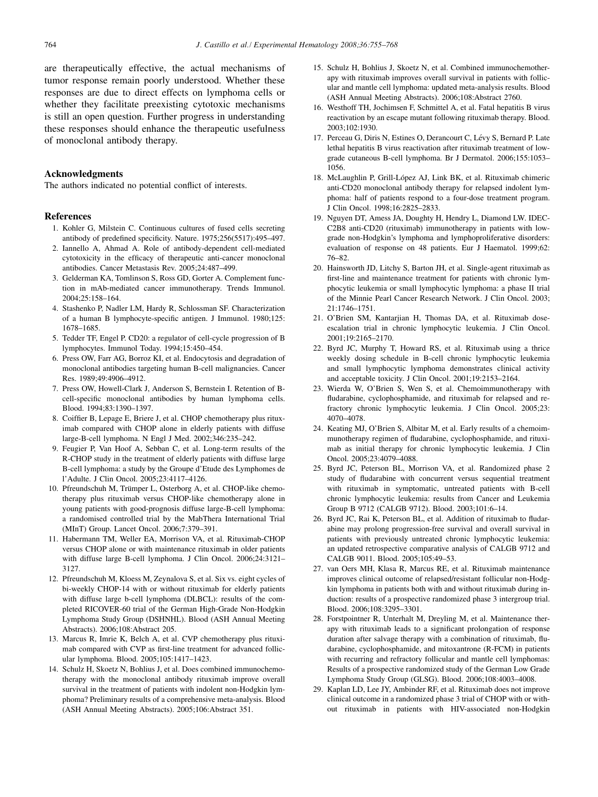<span id="page-9-0"></span>are therapeutically effective, the actual mechanisms of tumor response remain poorly understood. Whether these responses are due to direct effects on lymphoma cells or whether they facilitate preexisting cytotoxic mechanisms is still an open question. Further progress in understanding these responses should enhance the therapeutic usefulness of monoclonal antibody therapy.

#### Acknowledgments

The authors indicated no potential conflict of interests.

#### References

- 1. Kohler G, Milstein C. Continuous cultures of fused cells secreting antibody of predefined specificity. Nature. 1975;256(5517):495–497.
- 2. Iannello A, Ahmad A. Role of antibody-dependent cell-mediated cytotoxicity in the efficacy of therapeutic anti-cancer monoclonal antibodies. Cancer Metastasis Rev. 2005;24:487–499.
- 3. Gelderman KA, Tomlinson S, Ross GD, Gorter A. Complement function in mAb-mediated cancer immunotherapy. Trends Immunol. 2004;25:158–164.
- 4. Stashenko P, Nadler LM, Hardy R, Schlossman SF. Characterization of a human B lymphocyte-specific antigen. J Immunol. 1980;125: 1678–1685.
- 5. Tedder TF, Engel P. CD20: a regulator of cell-cycle progression of B lymphocytes. Immunol Today. 1994;15:450–454.
- 6. Press OW, Farr AG, Borroz KI, et al. Endocytosis and degradation of monoclonal antibodies targeting human B-cell malignancies. Cancer Res. 1989;49:4906–4912.
- 7. Press OW, Howell-Clark J, Anderson S, Bernstein I. Retention of Bcell-specific monoclonal antibodies by human lymphoma cells. Blood. 1994;83:1390–1397.
- 8. Coiffier B, Lepage E, Briere J, et al. CHOP chemotherapy plus rituximab compared with CHOP alone in elderly patients with diffuse large-B-cell lymphoma. N Engl J Med. 2002;346:235–242.
- 9. Feugier P, Van Hoof A, Sebban C, et al. Long-term results of the R-CHOP study in the treatment of elderly patients with diffuse large B-cell lymphoma: a study by the Groupe d'Etude des Lymphomes de l'Adulte. J Clin Oncol. 2005;23:4117–4126.
- 10. Pfreundschuh M, Trümper L, Osterborg A, et al. CHOP-like chemotherapy plus rituximab versus CHOP-like chemotherapy alone in young patients with good-prognosis diffuse large-B-cell lymphoma: a randomised controlled trial by the MabThera International Trial (MInT) Group. Lancet Oncol. 2006;7:379–391.
- 11. Habermann TM, Weller EA, Morrison VA, et al. Rituximab-CHOP versus CHOP alone or with maintenance rituximab in older patients with diffuse large B-cell lymphoma. J Clin Oncol. 2006;24:3121– 3127.
- 12. Pfreundschuh M, Kloess M, Zeynalova S, et al. Six vs. eight cycles of bi-weekly CHOP-14 with or without rituximab for elderly patients with diffuse large b-cell lymphoma (DLBCL): results of the completed RICOVER-60 trial of the German High-Grade Non-Hodgkin Lymphoma Study Group (DSHNHL). Blood (ASH Annual Meeting Abstracts). 2006;108:Abstract 205.
- 13. Marcus R, Imrie K, Belch A, et al. CVP chemotherapy plus rituximab compared with CVP as first-line treatment for advanced follicular lymphoma. Blood. 2005;105:1417–1423.
- 14. Schulz H, Skoetz N, Bohlius J, et al. Does combined immunochemotherapy with the monoclonal antibody rituximab improve overall survival in the treatment of patients with indolent non-Hodgkin lymphoma? Preliminary results of a comprehensive meta-analysis. Blood (ASH Annual Meeting Abstracts). 2005;106:Abstract 351.
- 15. Schulz H, Bohlius J, Skoetz N, et al. Combined immunochemotherapy with rituximab improves overall survival in patients with follicular and mantle cell lymphoma: updated meta-analysis results. Blood (ASH Annual Meeting Abstracts). 2006;108:Abstract 2760.
- 16. Westhoff TH, Jochimsen F, Schmittel A, et al. Fatal hepatitis B virus reactivation by an escape mutant following rituximab therapy. Blood. 2003;102:1930.
- 17. Perceau G, Diris N, Estines O, Derancourt C, Lévy S, Bernard P. Late lethal hepatitis B virus reactivation after rituximab treatment of lowgrade cutaneous B-cell lymphoma. Br J Dermatol. 2006;155:1053– 1056.
- 18. McLaughlin P, Grill-López AJ, Link BK, et al. Rituximab chimeric anti-CD20 monoclonal antibody therapy for relapsed indolent lymphoma: half of patients respond to a four-dose treatment program. J Clin Oncol. 1998;16:2825–2833.
- 19. Nguyen DT, Amess JA, Doughty H, Hendry L, Diamond LW. IDEC-C2B8 anti-CD20 (rituximab) immunotherapy in patients with lowgrade non-Hodgkin's lymphoma and lymphoproliferative disorders: evaluation of response on 48 patients. Eur J Haematol. 1999;62: 76–82.
- 20. Hainsworth JD, Litchy S, Barton JH, et al. Single-agent rituximab as first-line and maintenance treatment for patients with chronic lymphocytic leukemia or small lymphocytic lymphoma: a phase II trial of the Minnie Pearl Cancer Research Network. J Clin Oncol. 2003; 21:1746–1751.
- 21. O'Brien SM, Kantarjian H, Thomas DA, et al. Rituximab doseescalation trial in chronic lymphocytic leukemia. J Clin Oncol. 2001;19:2165–2170.
- 22. Byrd JC, Murphy T, Howard RS, et al. Rituximab using a thrice weekly dosing schedule in B-cell chronic lymphocytic leukemia and small lymphocytic lymphoma demonstrates clinical activity and acceptable toxicity. J Clin Oncol. 2001;19:2153–2164.
- 23. Wierda W, O'Brien S, Wen S, et al. Chemoimmunotherapy with fludarabine, cyclophosphamide, and rituximab for relapsed and refractory chronic lymphocytic leukemia. J Clin Oncol. 2005;23: 4070–4078.
- 24. Keating MJ, O'Brien S, Albitar M, et al. Early results of a chemoimmunotherapy regimen of fludarabine, cyclophosphamide, and rituximab as initial therapy for chronic lymphocytic leukemia. J Clin Oncol. 2005;23:4079–4088.
- 25. Byrd JC, Peterson BL, Morrison VA, et al. Randomized phase 2 study of fludarabine with concurrent versus sequential treatment with rituximab in symptomatic, untreated patients with B-cell chronic lymphocytic leukemia: results from Cancer and Leukemia Group B 9712 (CALGB 9712). Blood. 2003;101:6–14.
- 26. Byrd JC, Rai K, Peterson BL, et al. Addition of rituximab to fludarabine may prolong progression-free survival and overall survival in patients with previously untreated chronic lymphocytic leukemia: an updated retrospective comparative analysis of CALGB 9712 and CALGB 9011. Blood. 2005;105:49–53.
- 27. van Oers MH, Klasa R, Marcus RE, et al. Rituximab maintenance improves clinical outcome of relapsed/resistant follicular non-Hodgkin lymphoma in patients both with and without rituximab during induction: results of a prospective randomized phase 3 intergroup trial. Blood. 2006;108:3295–3301.
- 28. Forstpointner R, Unterhalt M, Dreyling M, et al. Maintenance therapy with rituximab leads to a significant prolongation of response duration after salvage therapy with a combination of rituximab, fludarabine, cyclophosphamide, and mitoxantrone (R-FCM) in patients with recurring and refractory follicular and mantle cell lymphomas: Results of a prospective randomized study of the German Low Grade Lymphoma Study Group (GLSG). Blood. 2006;108:4003–4008.
- 29. Kaplan LD, Lee JY, Ambinder RF, et al. Rituximab does not improve clinical outcome in a randomized phase 3 trial of CHOP with or without rituximab in patients with HIV-associated non-Hodgkin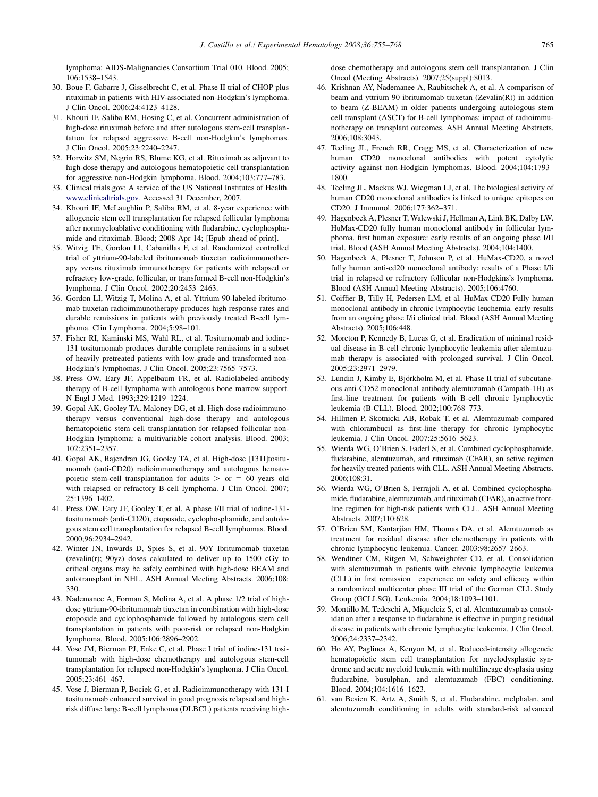<span id="page-10-0"></span>lymphoma: AIDS-Malignancies Consortium Trial 010. Blood. 2005; 106:1538–1543.

- 30. Boue F, Gabarre J, Gisselbrecht C, et al. Phase II trial of CHOP plus rituximab in patients with HIV-associated non-Hodgkin's lymphoma. J Clin Oncol. 2006;24:4123–4128.
- 31. Khouri IF, Saliba RM, Hosing C, et al. Concurrent administration of high-dose rituximab before and after autologous stem-cell transplantation for relapsed aggressive B-cell non-Hodgkin's lymphomas. J Clin Oncol. 2005;23:2240–2247.
- 32. Horwitz SM, Negrin RS, Blume KG, et al. Rituximab as adjuvant to high-dose therapy and autologous hematopoietic cell transplantation for aggressive non-Hodgkin lymphoma. Blood. 2004;103:777–783.
- 33. Clinical trials.gov: A service of the US National Institutes of Health. [www.clinicaltrials.gov.](http://www.clinicaltrials.gov) Accessed 31 December, 2007.
- 34. Khouri IF, McLaughlin P, Saliba RM, et al. 8-year experience with allogeneic stem cell transplantation for relapsed follicular lymphoma after nonmyeloablative conditioning with fludarabine, cyclophosphamide and rituximab. Blood; 2008 Apr 14; [Epub ahead of print].
- 35. Witzig TE, Gordon LI, Cabanillas F, et al. Randomized controlled trial of yttrium-90-labeled ibritumomab tiuxetan radioimmunotherapy versus rituximab immunotherapy for patients with relapsed or refractory low-grade, follicular, or transformed B-cell non-Hodgkin's lymphoma. J Clin Oncol. 2002;20:2453–2463.
- 36. Gordon LI, Witzig T, Molina A, et al. Yttrium 90-labeled ibritumomab tiuxetan radioimmunotherapy produces high response rates and durable remissions in patients with previously treated B-cell lymphoma. Clin Lymphoma. 2004;5:98–101.
- 37. Fisher RI, Kaminski MS, Wahl RL, et al. Tositumomab and iodine-131 tositumomab produces durable complete remissions in a subset of heavily pretreated patients with low-grade and transformed non-Hodgkin's lymphomas. J Clin Oncol. 2005;23:7565–7573.
- 38. Press OW, Eary JF, Appelbaum FR, et al. Radiolabeled-antibody therapy of B-cell lymphoma with autologous bone marrow support. N Engl J Med. 1993;329:1219–1224.
- 39. Gopal AK, Gooley TA, Maloney DG, et al. High-dose radioimmunotherapy versus conventional high-dose therapy and autologous hematopoietic stem cell transplantation for relapsed follicular non-Hodgkin lymphoma: a multivariable cohort analysis. Blood. 2003; 102:2351–2357.
- 40. Gopal AK, Rajendran JG, Gooley TA, et al. High-dose [131I]tositumomab (anti-CD20) radioimmunotherapy and autologous hematopoietic stem-cell transplantation for adults  $>$  or = 60 years old with relapsed or refractory B-cell lymphoma. J Clin Oncol. 2007; 25:1396–1402.
- 41. Press OW, Eary JF, Gooley T, et al. A phase I/II trial of iodine-131 tositumomab (anti-CD20), etoposide, cyclophosphamide, and autologous stem cell transplantation for relapsed B-cell lymphomas. Blood. 2000;96:2934–2942.
- 42. Winter JN, Inwards D, Spies S, et al. 90Y Ibritumomab tiuxetan (zevalin(r);  $90yz$ ) doses calculated to deliver up to  $1500$  cGy to critical organs may be safely combined with high-dose BEAM and autotransplant in NHL. ASH Annual Meeting Abstracts. 2006;108: 330.
- 43. Nademanee A, Forman S, Molina A, et al. A phase 1/2 trial of highdose yttrium-90-ibritumomab tiuxetan in combination with high-dose etoposide and cyclophosphamide followed by autologous stem cell transplantation in patients with poor-risk or relapsed non-Hodgkin lymphoma. Blood. 2005;106:2896–2902.
- 44. Vose JM, Bierman PJ, Enke C, et al. Phase I trial of iodine-131 tositumomab with high-dose chemotherapy and autologous stem-cell transplantation for relapsed non-Hodgkin's lymphoma. J Clin Oncol. 2005;23:461–467.
- 45. Vose J, Bierman P, Bociek G, et al. Radioimmunotherapy with 131-I tositumomab enhanced survival in good prognosis relapsed and highrisk diffuse large B-cell lymphoma (DLBCL) patients receiving high-

dose chemotherapy and autologous stem cell transplantation. J Clin Oncol (Meeting Abstracts). 2007;25(suppl):8013.

- 46. Krishnan AY, Nademanee A, Raubitschek A, et al. A comparison of beam and yttrium 90 ibritumomab tiuxetan (Zevalin(R)) in addition to beam (Z-BEAM) in older patients undergoing autologous stem cell transplant (ASCT) for B-cell lymphomas: impact of radioimmunotherapy on transplant outcomes. ASH Annual Meeting Abstracts. 2006;108:3043.
- 47. Teeling JL, French RR, Cragg MS, et al. Characterization of new human CD20 monoclonal antibodies with potent cytolytic activity against non-Hodgkin lymphomas. Blood. 2004;104:1793– 1800.
- 48. Teeling JL, Mackus WJ, Wiegman LJ, et al. The biological activity of human CD20 monoclonal antibodies is linked to unique epitopes on CD20. J Immunol. 2006;177:362–371.
- 49. Hagenbeek A, Plesner T, Walewski J, Hellman A, Link BK, Dalby LW. HuMax-CD20 fully human monoclonal antibody in follicular lymphoma. first human exposure: early results of an ongoing phase I/II trial. Blood (ASH Annual Meeting Abstracts). 2004;104:1400.
- 50. Hagenbeek A, Plesner T, Johnson P, et al. HuMax-CD20, a novel fully human anti-cd20 monoclonal antibody: results of a Phase I/Ii trial in relapsed or refractory follicular non-Hodgkins's lymphoma. Blood (ASH Annual Meeting Abstracts). 2005;106:4760.
- 51. Coiffier B, Tilly H, Pedersen LM, et al. HuMax CD20 Fully human monoclonal antibody in chronic lymphocytic leuchemia. early results from an ongoing phase I/ii clinical trial. Blood (ASH Annual Meeting Abstracts). 2005;106:448.
- 52. Moreton P, Kennedy B, Lucas G, et al. Eradication of minimal residual disease in B-cell chronic lymphocytic leukemia after alemtuzumab therapy is associated with prolonged survival. J Clin Oncol. 2005;23:2971–2979.
- 53. Lundin J, Kimby E, Björkholm M, et al. Phase II trial of subcutaneous anti-CD52 monoclonal antibody alemtuzumab (Campath-1H) as first-line treatment for patients with B-cell chronic lymphocytic leukemia (B-CLL). Blood. 2002;100:768–773.
- 54. Hillmen P, Skotnicki AB, Robak T, et al. Alemtuzumab compared with chlorambucil as first-line therapy for chronic lymphocytic leukemia. J Clin Oncol. 2007;25:5616–5623.
- 55. Wierda WG, O'Brien S, Faderl S, et al. Combined cyclophosphamide, fludarabine, alemtuzumab, and rituximab (CFAR), an active regimen for heavily treated patients with CLL. ASH Annual Meeting Abstracts. 2006;108:31.
- 56. Wierda WG, O'Brien S, Ferrajoli A, et al. Combined cyclophosphamide, fludarabine, alemtuzumab, and rituximab (CFAR), an active frontline regimen for high-risk patients with CLL. ASH Annual Meeting Abstracts. 2007;110:628.
- 57. O'Brien SM, Kantarjian HM, Thomas DA, et al. Alemtuzumab as treatment for residual disease after chemotherapy in patients with chronic lymphocytic leukemia. Cancer. 2003;98:2657–2663.
- 58. Wendtner CM, Ritgen M, Schweighofer CD, et al. Consolidation with alemtuzumab in patients with chronic lymphocytic leukemia (CLL) in first remission-experience on safety and efficacy within a randomized multicenter phase III trial of the German CLL Study Group (GCLLSG). Leukemia. 2004;18:1093–1101.
- 59. Montillo M, Tedeschi A, Miqueleiz S, et al. Alemtuzumab as consolidation after a response to fludarabine is effective in purging residual disease in patients with chronic lymphocytic leukemia. J Clin Oncol. 2006;24:2337–2342.
- 60. Ho AY, Pagliuca A, Kenyon M, et al. Reduced-intensity allogeneic hematopoietic stem cell transplantation for myelodysplastic syndrome and acute myeloid leukemia with multilineage dysplasia using fludarabine, busulphan, and alemtuzumab (FBC) conditioning. Blood. 2004;104:1616–1623.
- 61. van Besien K, Artz A, Smith S, et al. Fludarabine, melphalan, and alemtuzumab conditioning in adults with standard-risk advanced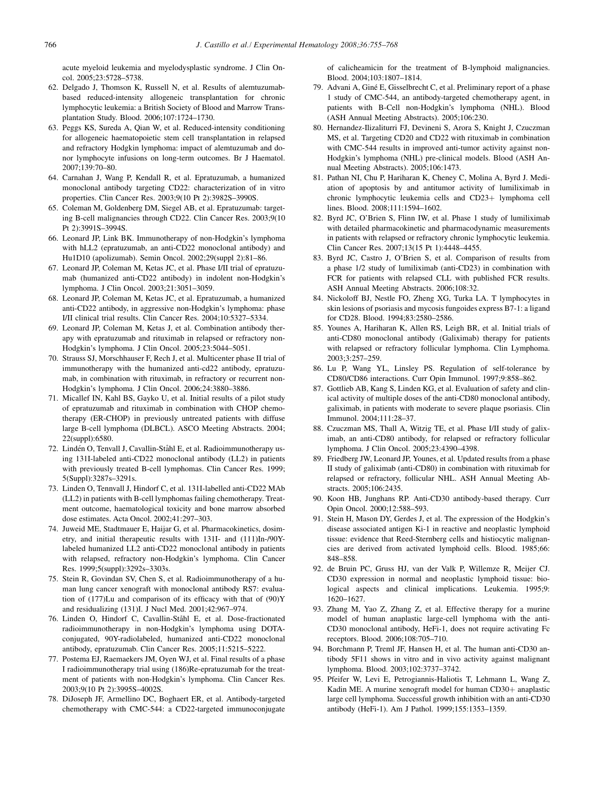<span id="page-11-0"></span>acute myeloid leukemia and myelodysplastic syndrome. J Clin Oncol. 2005;23:5728–5738.

- 62. Delgado J, Thomson K, Russell N, et al. Results of alemtuzumabbased reduced-intensity allogeneic transplantation for chronic lymphocytic leukemia: a British Society of Blood and Marrow Transplantation Study. Blood. 2006;107:1724–1730.
- 63. Peggs KS, Sureda A, Qian W, et al. Reduced-intensity conditioning for allogeneic haematopoietic stem cell transplantation in relapsed and refractory Hodgkin lymphoma: impact of alemtuzumab and donor lymphocyte infusions on long-term outcomes. Br J Haematol. 2007;139:70–80.
- 64. Carnahan J, Wang P, Kendall R, et al. Epratuzumab, a humanized monoclonal antibody targeting CD22: characterization of in vitro properties. Clin Cancer Res. 2003;9(10 Pt 2):3982S–3990S.
- 65. Coleman M, Goldenberg DM, Siegel AB, et al. Epratuzumab: targeting B-cell malignancies through CD22. Clin Cancer Res. 2003;9(10 Pt 2):3991S–3994S.
- 66. Leonard JP, Link BK. Immunotherapy of non-Hodgkin's lymphoma with hLL2 (epratuzumab, an anti-CD22 monoclonal antibody) and Hu1D10 (apolizumab). Semin Oncol. 2002;29(suppl 2):81–86.
- 67. Leonard JP, Coleman M, Ketas JC, et al. Phase I/II trial of epratuzumab (humanized anti-CD22 antibody) in indolent non-Hodgkin's lymphoma. J Clin Oncol. 2003;21:3051–3059.
- 68. Leonard JP, Coleman M, Ketas JC, et al. Epratuzumab, a humanized anti-CD22 antibody, in aggressive non-Hodgkin's lymphoma: phase I/II clinical trial results. Clin Cancer Res. 2004;10:5327–5334.
- 69. Leonard JP, Coleman M, Ketas J, et al. Combination antibody therapy with epratuzumab and rituximab in relapsed or refractory non-Hodgkin's lymphoma. J Clin Oncol. 2005;23:5044–5051.
- 70. Strauss SJ, Morschhauser F, Rech J, et al. Multicenter phase II trial of immunotherapy with the humanized anti-cd22 antibody, epratuzumab, in combination with rituximab, in refractory or recurrent non-Hodgkin's lymphoma. J Clin Oncol. 2006;24:3880–3886.
- 71. Micallef IN, Kahl BS, Gayko U, et al. Initial results of a pilot study of epratuzumab and rituximab in combination with CHOP chemotherapy (ER-CHOP) in previously untreated patients with diffuse large B-cell lymphoma (DLBCL). ASCO Meeting Abstracts. 2004; 22(suppl):6580.
- 72. Lindén O, Tenvall J, Cavallin-Ståhl E, et al. Radioimmunotherapy using 131I-labeled anti-CD22 monoclonal antibody (LL2) in patients with previously treated B-cell lymphomas. Clin Cancer Res. 1999; 5(Suppl):3287s–3291s.
- 73. Linden O, Tennvall J, Hindorf C, et al. 131I-labelled anti-CD22 MAb (LL2) in patients with B-cell lymphomas failing chemotherapy. Treatment outcome, haematological toxicity and bone marrow absorbed dose estimates. Acta Oncol. 2002;41:297–303.
- 74. Juweid ME, Stadtmauer E, Haijar G, et al. Pharmacokinetics, dosimetry, and initial therapeutic results with 131I- and (111)In-/90Ylabeled humanized LL2 anti-CD22 monoclonal antibody in patients with relapsed, refractory non-Hodgkin's lymphoma. Clin Cancer Res. 1999;5(suppl):3292s–3303s.
- 75. Stein R, Govindan SV, Chen S, et al. Radioimmunotherapy of a human lung cancer xenograft with monoclonal antibody RS7: evaluation of (177)Lu and comparison of its efficacy with that of (90)Y and residualizing (131)I. J Nucl Med. 2001;42:967–974.
- 76. Linden O, Hindorf C, Cavallin-Ståhl E, et al. Dose-fractionated radioimmunotherapy in non-Hodgkin's lymphoma using DOTAconjugated, 90Y-radiolabeled, humanized anti-CD22 monoclonal antibody, epratuzumab. Clin Cancer Res. 2005;11:5215–5222.
- 77. Postema EJ, Raemaekers JM, Oyen WJ, et al. Final results of a phase I radioimmunotherapy trial using (186)Re-epratuzumab for the treatment of patients with non-Hodgkin's lymphoma. Clin Cancer Res. 2003;9(10 Pt 2):3995S–4002S.
- 78. DiJoseph JF, Armellino DC, Boghaert ER, et al. Antibody-targeted chemotherapy with CMC-544: a CD22-targeted immunoconjugate

of calicheamicin for the treatment of B-lymphoid malignancies. Blood. 2004;103:1807–1814.

- 79. Advani A, Giné E, Gisselbrecht C, et al. Preliminary report of a phase 1 study of CMC-544, an antibody-targeted chemotherapy agent, in patients with B-Cell non-Hodgkin's lymphoma (NHL). Blood (ASH Annual Meeting Abstracts). 2005;106:230.
- 80. Hernandez-Ilizaliturri FJ, Devineni S, Arora S, Knight J, Czuczman MS, et al. Targeting CD20 and CD22 with rituximab in combination with CMC-544 results in improved anti-tumor activity against non-Hodgkin's lymphoma (NHL) pre-clinical models. Blood (ASH Annual Meeting Abstracts). 2005;106:1473.
- 81. Pathan NI, Chu P, Hariharan K, Cheney C, Molina A, Byrd J. Mediation of apoptosis by and antitumor activity of lumiliximab in chronic lymphocytic leukemia cells and CD23+ lymphoma cell lines. Blood. 2008;111:1594–1602.
- 82. Byrd JC, O'Brien S, Flinn IW, et al. Phase 1 study of lumiliximab with detailed pharmacokinetic and pharmacodynamic measurements in patients with relapsed or refractory chronic lymphocytic leukemia. Clin Cancer Res. 2007;13(15 Pt 1):4448–4455.
- 83. Byrd JC, Castro J, O'Brien S, et al. Comparison of results from a phase 1/2 study of lumiliximab (anti-CD23) in combination with FCR for patients with relapsed CLL with published FCR results. ASH Annual Meeting Abstracts. 2006;108:32.
- 84. Nickoloff BJ, Nestle FO, Zheng XG, Turka LA. T lymphocytes in skin lesions of psoriasis and mycosis fungoides express B7-1: a ligand for CD28. Blood. 1994;83:2580–2586.
- 85. Younes A, Hariharan K, Allen RS, Leigh BR, et al. Initial trials of anti-CD80 monoclonal antibody (Galiximab) therapy for patients with relapsed or refractory follicular lymphoma. Clin Lymphoma. 2003;3:257–259.
- 86. Lu P, Wang YL, Linsley PS. Regulation of self-tolerance by CD80/CD86 interactions. Curr Opin Immunol. 1997;9:858–862.
- 87. Gottlieb AB, Kang S, Linden KG, et al. Evaluation of safety and clinical activity of multiple doses of the anti-CD80 monoclonal antibody, galiximab, in patients with moderate to severe plaque psoriasis. Clin Immunol. 2004;111:28–37.
- 88. Czuczman MS, Thall A, Witzig TE, et al. Phase I/II study of galiximab, an anti-CD80 antibody, for relapsed or refractory follicular lymphoma. J Clin Oncol. 2005;23:4390–4398.
- 89. Friedberg JW, Leonard JP, Younes, et al. Updated results from a phase II study of galiximab (anti-CD80) in combination with rituximab for relapsed or refractory, follicular NHL. ASH Annual Meeting Abstracts. 2005;106:2435.
- 90. Koon HB, Junghans RP. Anti-CD30 antibody-based therapy. Curr Opin Oncol. 2000;12:588–593.
- 91. Stein H, Mason DY, Gerdes J, et al. The expression of the Hodgkin's disease associated antigen Ki-1 in reactive and neoplastic lymphoid tissue: evidence that Reed-Sternberg cells and histiocytic malignancies are derived from activated lymphoid cells. Blood. 1985;66: 848–858.
- 92. de Bruin PC, Gruss HJ, van der Valk P, Willemze R, Meijer CJ. CD30 expression in normal and neoplastic lymphoid tissue: biological aspects and clinical implications. Leukemia. 1995;9: 1620–1627.
- 93. Zhang M, Yao Z, Zhang Z, et al. Effective therapy for a murine model of human anaplastic large-cell lymphoma with the anti-CD30 monoclonal antibody, HeFi-1, does not require activating Fc receptors. Blood. 2006;108:705–710.
- 94. Borchmann P, Treml JF, Hansen H, et al. The human anti-CD30 antibody 5F11 shows in vitro and in vivo activity against malignant lymphoma. Blood. 2003;102:3737–3742.
- 95. Pfeifer W, Levi E, Petrogiannis-Haliotis T, Lehmann L, Wang Z, Kadin ME. A murine xenograft model for human CD30+ anaplastic large cell lymphoma. Successful growth inhibition with an anti-CD30 antibody (HeFi-1). Am J Pathol. 1999;155:1353–1359.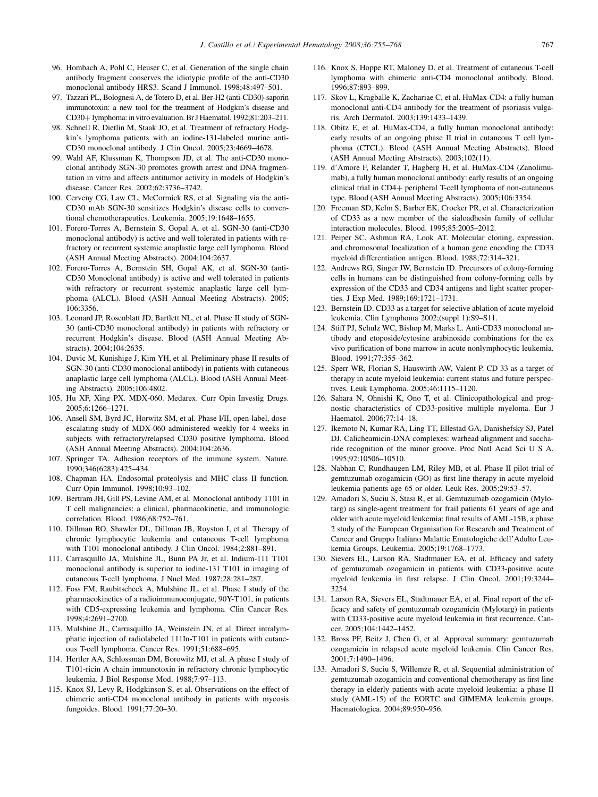- <span id="page-12-0"></span>96. Hombach A, Pohl C, Heuser C, et al. Generation of the single chain antibody fragment conserves the idiotypic profile of the anti-CD30 monoclonal antibody HRS3. Scand J Immunol. 1998;48:497–501.
- 97. Tazzari PL, Bolognesi A, de Totero D, et al. Ber-H2 (anti-CD30)-saporin immunotoxin: a new tool for the treatment of Hodgkin's disease and CD30+ lymphoma: in vitro evaluation. Br J Haematol. 1992;81:203-211.
- 98. Schnell R, Dietlin M, Staak JO, et al. Treatment of refractory Hodgkin's lymphoma patients with an iodine-131-labeled murine anti-CD30 monoclonal antibody. J Clin Oncol. 2005;23:4669–4678.
- 99. Wahl AF, Klussman K, Thompson JD, et al. The anti-CD30 monoclonal antibody SGN-30 promotes growth arrest and DNA fragmentation in vitro and affects antitumor activity in models of Hodgkin's disease. Cancer Res. 2002;62:3736–3742.
- 100. Cerveny CG, Law CL, McCormick RS, et al. Signaling via the anti-CD30 mAb SGN-30 sensitizes Hodgkin's disease cells to conventional chemotherapeutics. Leukemia. 2005;19:1648–1655.
- 101. Forero-Torres A, Bernstein S, Gopal A, et al. SGN-30 (anti-CD30 monoclonal antibody) is active and well tolerated in patients with refractory or recurrent systemic anaplastic large cell lymphoma. Blood (ASH Annual Meeting Abstracts). 2004;104:2637.
- 102. Forero-Torres A, Bernstein SH, Gopal AK, et al. SGN-30 (anti-CD30 Monoclonal antibody) is active and well tolerated in patients with refractory or recurrent systemic anaplastic large cell lymphoma (ALCL). Blood (ASH Annual Meeting Abstracts). 2005; 106:3356.
- 103. Leonard JP, Rosenblatt JD, Bartlett NL, et al. Phase II study of SGN-30 (anti-CD30 monoclonal antibody) in patients with refractory or recurrent Hodgkin's disease. Blood (ASH Annual Meeting Abstracts). 2004;104:2635.
- 104. Duvic M, Kunishige J, Kim YH, et al. Preliminary phase II results of SGN-30 (anti-CD30 monoclonal antibody) in patients with cutaneous anaplastic large cell lymphoma (ALCL). Blood (ASH Annual Meeting Abstracts). 2005;106:4802.
- 105. Hu XF, Xing PX. MDX-060. Medarex. Curr Opin Investig Drugs. 2005;6:1266–1271.
- 106. Ansell SM, Byrd JC, Horwitz SM, et al. Phase I/II, open-label, doseescalating study of MDX-060 administered weekly for 4 weeks in subjects with refractory/relapsed CD30 positive lymphoma. Blood (ASH Annual Meeting Abstracts). 2004;104:2636.
- 107. Springer TA. Adhesion receptors of the immune system. Nature. 1990;346(6283):425–434.
- 108. Chapman HA. Endosomal proteolysis and MHC class II function. Curr Opin Immunol. 1998;10:93–102.
- 109. Bertram JH, Gill PS, Levine AM, et al. Monoclonal antibody T101 in T cell malignancies: a clinical, pharmacokinetic, and immunologic correlation. Blood. 1986;68:752–761.
- 110. Dillman RO, Shawler DL, Dillman JB, Royston I, et al. Therapy of chronic lymphocytic leukemia and cutaneous T-cell lymphoma with T101 monoclonal antibody. J Clin Oncol. 1984;2:881–891.
- 111. Carrasquillo JA, Mulshine JL, Bunn PA Jr, et al. Indium-111 T101 monoclonal antibody is superior to iodine-131 T101 in imaging of cutaneous T-cell lymphoma. J Nucl Med. 1987;28:281–287.
- 112. Foss FM, Raubitscheck A, Mulshine JL, et al. Phase I study of the pharmacokinetics of a radioimmunoconjugate, 90Y-T101, in patients with CD5-expressing leukemia and lymphoma. Clin Cancer Res. 1998;4:2691–2700.
- 113. Mulshine JL, Carrasquillo JA, Weinstein JN, et al. Direct intralymphatic injection of radiolabeled 111In-T101 in patients with cutaneous T-cell lymphoma. Cancer Res. 1991;51:688–695.
- 114. Hertler AA, Schlossman DM, Borowitz MJ, et al. A phase I study of T101-ricin A chain immunotoxin in refractory chronic lymphocytic leukemia. J Biol Response Mod. 1988;7:97–113.
- 115. Knox SJ, Levy R, Hodgkinson S, et al. Observations on the effect of chimeric anti-CD4 monoclonal antibody in patients with mycosis fungoides. Blood. 1991;77:20–30.
- 116. Knox S, Hoppe RT, Maloney D, et al. Treatment of cutaneous T-cell lymphoma with chimeric anti-CD4 monoclonal antibody. Blood. 1996;87:893–899.
- 117. Skov L, Kragballe K, Zachariae C, et al. HuMax-CD4: a fully human monoclonal anti-CD4 antibody for the treatment of psoriasis vulgaris. Arch Dermatol. 2003;139:1433–1439.
- 118. Obitz E, et al. HuMax-CD4, a fully human monoclonal antibody: early results of an ongoing phase II trial in cutaneous T cell lymphoma (CTCL). Blood (ASH Annual Meeting Abstracts). Blood (ASH Annual Meeting Abstracts). 2003;102(11).
- 119. d'Amore F, Relander T, Hagberg H, et al. HuMax-CD4 (Zanolimumab), a fully human monoclonal antibody: early results of an ongoing clinical trial in CD4+ peripheral T-cell lymphoma of non-cutaneous type. Blood (ASH Annual Meeting Abstracts). 2005;106:3354.
- 120. Freeman SD, Kelm S, Barber EK, Crocker PR, et al. Characterization of CD33 as a new member of the sialoadhesin family of cellular interaction molecules. Blood. 1995;85:2005–2012.
- 121. Peiper SC, Ashmun RA, Look AT. Molecular cloning, expression, and chromosomal localization of a human gene encoding the CD33 myeloid differentiation antigen. Blood. 1988;72:314–321.
- 122. Andrews RG, Singer JW, Bernstein ID. Precursors of colony-forming cells in humans can be distinguished from colony-forming cells by expression of the CD33 and CD34 antigens and light scatter properties. J Exp Med. 1989;169:1721–1731.
- 123. Bernstein ID. CD33 as a target for selective ablation of acute myeloid leukemia. Clin Lymphoma 2002;(suppl 1):S9–S11.
- 124. Stiff PJ, Schulz WC, Bishop M, Marks L. Anti-CD33 monoclonal antibody and etoposide/cytosine arabinoside combinations for the ex vivo purification of bone marrow in acute nonlymphocytic leukemia. Blood. 1991;77:355–362.
- 125. Sperr WR, Florian S, Hauswirth AW, Valent P. CD 33 as a target of therapy in acute myeloid leukemia: current status and future perspectives. Leuk Lymphoma. 2005;46:1115–1120.
- 126. Sahara N, Ohnishi K, Ono T, et al. Clinicopathological and prognostic characteristics of CD33-positive multiple myeloma. Eur J Haematol. 2006;77:14–18.
- 127. Ikemoto N, Kumar RA, Ling TT, Ellestad GA, Danishefsky SJ, Patel DJ. Calicheamicin-DNA complexes: warhead alignment and saccharide recognition of the minor groove. Proc Natl Acad Sci U S A. 1995;92:10506–10510.
- 128. Nabhan C, Rundhaugen LM, Riley MB, et al. Phase II pilot trial of gemtuzumab ozogamicin (GO) as first line therapy in acute myeloid leukemia patients age 65 or older. Leuk Res. 2005;29:53–57.
- 129. Amadori S, Suciu S, Stasi R, et al. Gemtuzumab ozogamicin (Mylotarg) as single-agent treatment for frail patients 61 years of age and older with acute myeloid leukemia: final results of AML-15B, a phase 2 study of the European Organisation for Research and Treatment of Cancer and Gruppo Italiano Malattie Ematologiche dell'Adulto Leukemia Groups. Leukemia. 2005;19:1768–1773.
- 130. Sievers EL, Larson RA, Stadtmauer EA, et al. Efficacy and safety of gemtuzumab ozogamicin in patients with CD33-positive acute myeloid leukemia in first relapse. J Clin Oncol. 2001;19:3244– 3254.
- 131. Larson RA, Sievers EL, Stadtmauer EA, et al. Final report of the efficacy and safety of gemtuzumab ozogamicin (Mylotarg) in patients with CD33-positive acute myeloid leukemia in first recurrence. Cancer. 2005;104:1442–1452.
- 132. Bross PF, Beitz J, Chen G, et al. Approval summary: gemtuzumab ozogamicin in relapsed acute myeloid leukemia. Clin Cancer Res. 2001;7:1490–1496.
- 133. Amadori S, Suciu S, Willemze R, et al. Sequential administration of gemtuzumab ozogamicin and conventional chemotherapy as first line therapy in elderly patients with acute myeloid leukemia: a phase II study (AML-15) of the EORTC and GIMEMA leukemia groups. Haematologica. 2004;89:950–956.